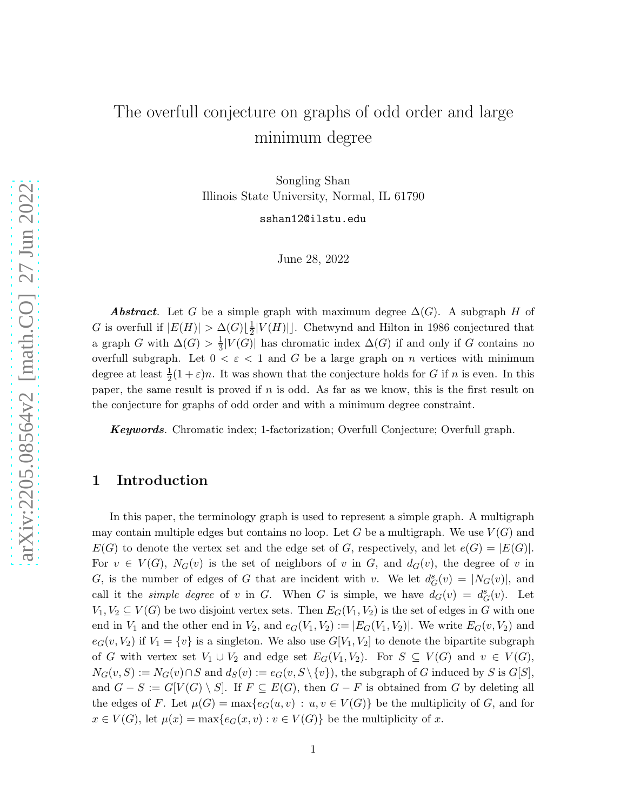# The overfull conjecture on graphs of odd order and large minimum degree

Songling Shan Illinois State University, Normal, IL 61790

sshan12@ilstu.edu

June 28, 2022

Abstract. Let G be a simple graph with maximum degree  $\Delta(G)$ . A subgraph H of G is overfull if  $|E(H)| > \Delta(G) \lfloor \frac{1}{2}\rfloor$  $\frac{1}{2}|V(H)|$ . Chetwynd and Hilton in 1986 conjectured that a graph G with  $\Delta(G) > \frac{1}{3}$  $\frac{1}{3}|V(G)|$  has chromatic index  $\Delta(G)$  if and only if G contains no overfull subgraph. Let  $0 < \varepsilon < 1$  and G be a large graph on n vertices with minimum degree at least  $\frac{1}{2}(1+\varepsilon)n$ . It was shown that the conjecture holds for G if n is even. In this paper, the same result is proved if n is odd. As far as we know, this is the first result on the conjecture for graphs of odd order and with a minimum degree constraint.

Keywords*.* Chromatic index; 1-factorization; Overfull Conjecture; Overfull graph.

## 1 Introduction

In this paper, the terminology graph is used to represent a simple graph. A multigraph may contain multiple edges but contains no loop. Let G be a multigraph. We use  $V(G)$  and  $E(G)$  to denote the vertex set and the edge set of G, respectively, and let  $e(G) = |E(G)|$ . For  $v \in V(G)$ ,  $N_G(v)$  is the set of neighbors of v in G, and  $d_G(v)$ , the degree of v in G, is the number of edges of G that are incident with v. We let  $d_G^s(v) = |N_G(v)|$ , and call it the *simple degree* of v in G. When G is simple, we have  $d_G(v) = d_G^s(v)$ . Let  $V_1, V_2 \subseteq V(G)$  be two disjoint vertex sets. Then  $E_G(V_1, V_2)$  is the set of edges in G with one end in  $V_1$  and the other end in  $V_2$ , and  $e_G(V_1, V_2) := |E_G(V_1, V_2)|$ . We write  $E_G(v, V_2)$  and  $e_G(v, V_2)$  if  $V_1 = \{v\}$  is a singleton. We also use  $G[V_1, V_2]$  to denote the bipartite subgraph of G with vertex set  $V_1 \cup V_2$  and edge set  $E_G(V_1, V_2)$ . For  $S \subseteq V(G)$  and  $v \in V(G)$ ,  $N_G(v, S) := N_G(v) \cap S$  and  $d_S(v) := e_G(v, S \setminus \{v\})$ , the subgraph of G induced by S is  $G[S]$ , and  $G - S := G[V(G) \setminus S]$ . If  $F \subseteq E(G)$ , then  $G - F$  is obtained from G by deleting all the edges of F. Let  $\mu(G) = \max\{e_G(u, v) : u, v \in V(G)\}\)$  be the multiplicity of G, and for  $x \in V(G)$ , let  $\mu(x) = \max\{e_G(x, v) : v \in V(G)\}\)$  be the multiplicity of x.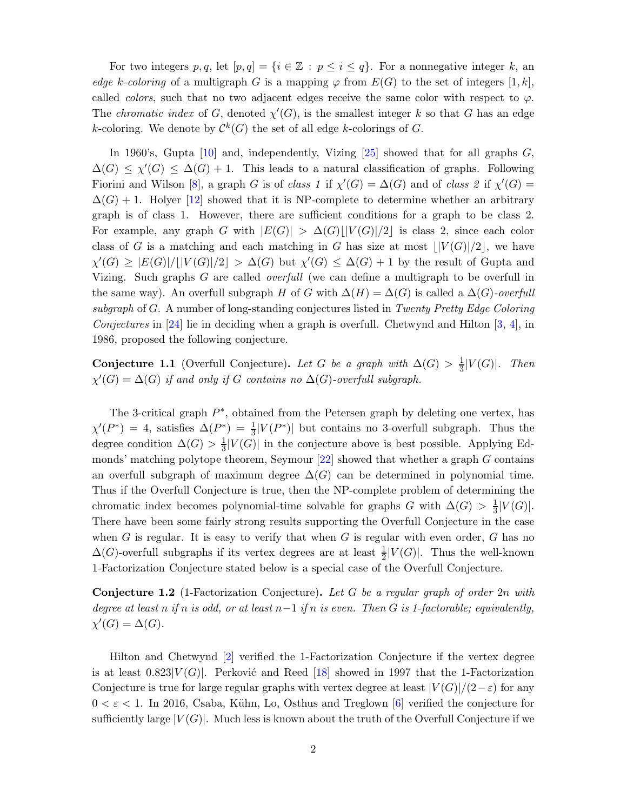For two integers p, q, let  $[p, q] = \{i \in \mathbb{Z} : p \leq i \leq q\}$ . For a nonnegative integer k, an *edge* k-coloring of a multigraph G is a mapping  $\varphi$  from  $E(G)$  to the set of integers [1, k], called *colors*, such that no two adjacent edges receive the same color with respect to  $\varphi$ . The *chromatic index* of G, denoted  $\chi'(G)$ , is the smallest integer k so that G has an edge k-coloring. We denote by  $\mathcal{C}^k(G)$  the set of all edge k-colorings of G.

In 1960's, Gupta  $[10]$  and, independently, Vizing  $[25]$  showed that for all graphs  $G$ ,  $\Delta(G) \leq \chi'(G) \leq \Delta(G) + 1$ . This leads to a natural classification of graphs. Following Fiorini and Wilson [\[8\]](#page-29-1), a graph G is of *class 1* if  $\chi'(G) = \Delta(G)$  and of *class 2* if  $\chi'(G)$  $\Delta(G) + 1$ . Holyer [\[12\]](#page-29-2) showed that it is NP-complete to determine whether an arbitrary graph is of class 1. However, there are sufficient conditions for a graph to be class 2. For example, any graph G with  $|E(G)| > \Delta(G)| |V(G)|/2|$  is class 2, since each color class of G is a matching and each matching in G has size at most  $\frac{|V(G)|}{2}$ , we have  $\chi'(G) \geq |E(G)|/||V(G)|/2| > \Delta(G)$  but  $\chi'(G) \leq \Delta(G) + 1$  by the result of Gupta and Vizing. Such graphs G are called *overfull* (we can define a multigraph to be overfull in the same way). An overfull subgraph H of G with  $\Delta(H) = \Delta(G)$  is called a  $\Delta(G)$ *-overfull subgraph* of G. A number of long-standing conjectures listed in *Twenty Pretty Edge Coloring Conjectures* in [\[24\]](#page-30-1) lie in deciding when a graph is overfull. Chetwynd and Hilton [\[3,](#page-28-0) [4\]](#page-28-1), in 1986, proposed the following conjecture.

**Conjecture 1.1** (Overfull Conjecture). Let G be a graph with  $\Delta(G) > \frac{1}{3}|V(G)|$ . Then  $\chi'(G) = \Delta(G)$  *if and only if* G *contains no*  $\Delta(G)$ -overfull subgraph.

The 3-critical graph  $P^*$ , obtained from the Petersen graph by deleting one vertex, has  $\chi'(P^*) = 4$ , satisfies  $\Delta(P^*) = \frac{1}{3}|V(P^*)|$  but contains no 3-overfull subgraph. Thus the degree condition  $\Delta(G) > \frac{1}{3}$  $\frac{1}{3}|V(G)|$  in the conjecture above is best possible. Applying Edmonds' matching polytope theorem, Seymour  $[22]$  showed that whether a graph G contains an overfull subgraph of maximum degree  $\Delta(G)$  can be determined in polynomial time. Thus if the Overfull Conjecture is true, then the NP-complete problem of determining the chromatic index becomes polynomial-time solvable for graphs G with  $\Delta(G) > \frac{1}{3}$  $\frac{1}{3}|V(G)|.$ There have been some fairly strong results supporting the Overfull Conjecture in the case when G is regular. It is easy to verify that when G is regular with even order,  $G$  has no  $\Delta(G)$ -overfull subgraphs if its vertex degrees are at least  $\frac{1}{2}|V(G)|$ . Thus the well-known 1-Factorization Conjecture stated below is a special case of the Overfull Conjecture.

Conjecture 1.2 (1-Factorization Conjecture). *Let* G *be a regular graph of order* 2n *with degree at least* n *if* n *is odd, or at least* n−1 *if* n *is even. Then* G *is 1-factorable; equivalently,*  $\chi'(G) = \Delta(G)$ .

Hilton and Chetwynd [\[2\]](#page-28-2) verified the 1-Factorization Conjecture if the vertex degree is at least  $0.823|V(G)|$ . Perković and Reed [\[18\]](#page-29-3) showed in 1997 that the 1-Factorization Conjecture is true for large regular graphs with vertex degree at least  $|V(G)|/(2-\varepsilon)$  for any  $0 < \varepsilon < 1$ . In 2016, Csaba, Kühn, Lo, Osthus and Treglown [\[6\]](#page-29-4) verified the conjecture for sufficiently large  $|V(G)|$ . Much less is known about the truth of the Overfull Conjecture if we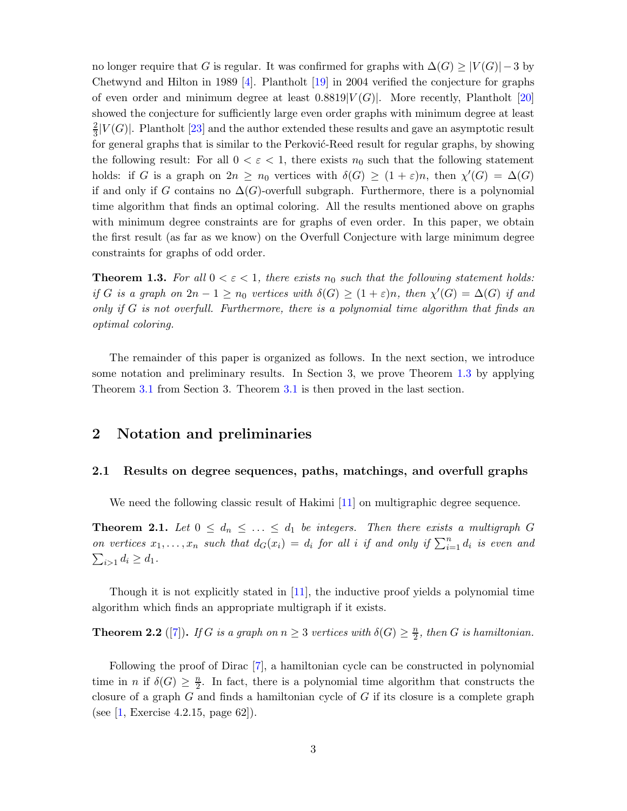no longer require that G is regular. It was confirmed for graphs with  $\Delta(G) \geq |V(G)| - 3$  by Chetwynd and Hilton in 1989 [\[4\]](#page-28-1). Plantholt [\[19\]](#page-29-5) in 2004 verified the conjecture for graphs of even order and minimum degree at least  $0.8819|V(G)|$ . More recently, Plantholt [\[20\]](#page-29-6) showed the conjecture for sufficiently large even order graphs with minimum degree at least 2  $\frac{2}{3}|V(G)|$ . Plantholt [\[23\]](#page-30-3) and the author extended these results and gave an asymptotic result for general graphs that is similar to the Perković-Reed result for regular graphs, by showing the following result: For all  $0 < \varepsilon < 1$ , there exists  $n_0$  such that the following statement holds: if G is a graph on  $2n \geq n_0$  vertices with  $\delta(G) \geq (1+\varepsilon)n$ , then  $\chi'(G) = \Delta(G)$ if and only if G contains no  $\Delta(G)$ -overfull subgraph. Furthermore, there is a polynomial time algorithm that finds an optimal coloring. All the results mentioned above on graphs with minimum degree constraints are for graphs of even order. In this paper, we obtain the first result (as far as we know) on the Overfull Conjecture with large minimum degree constraints for graphs of odd order.

<span id="page-2-0"></span>**Theorem 1.3.** For all  $0 < \varepsilon < 1$ , there exists  $n_0$  such that the following statement holds: *if* G *is a graph on*  $2n - 1 \ge n_0$  *vertices with*  $\delta(G) \ge (1 + \varepsilon)n$ *, then*  $\chi'(G) = \Delta(G)$  *if and only if* G *is not overfull. Furthermore, there is a polynomial time algorithm that finds an optimal coloring.*

The remainder of this paper is organized as follows. In the next section, we introduce some notation and preliminary results. In Section 3, we prove Theorem [1.3](#page-2-0) by applying Theorem [3.1](#page-7-0) from Section 3. Theorem [3.1](#page-7-0) is then proved in the last section.

### 2 Notation and preliminaries

### 2.1 Results on degree sequences, paths, matchings, and overfull graphs

We need the following classic result of Hakimi [\[11\]](#page-29-7) on multigraphic degree sequence.

<span id="page-2-2"></span>**Theorem 2.1.** Let  $0 \leq d_n \leq ... \leq d_1$  be integers. Then there exists a multigraph G *on vertices*  $x_1, \ldots, x_n$  such that  $d_G(x_i) = d_i$  for all i if and only if  $\sum_{i=1}^n d_i$  is even and  $\sum_{i>1} d_i \geq d_1.$ 

Though it is not explicitly stated in [\[11\]](#page-29-7), the inductive proof yields a polynomial time algorithm which finds an appropriate multigraph if it exists.

<span id="page-2-1"></span>**Theorem 2.2** ([\[7\]](#page-29-8)). *If* G *is a graph on*  $n \geq 3$  *vertices with*  $\delta(G) \geq \frac{n}{2}$  $\frac{n}{2}$ , then *G* is hamiltonian.

Following the proof of Dirac [\[7\]](#page-29-8), a hamiltonian cycle can be constructed in polynomial time in *n* if  $\delta(G) \geq \frac{n}{2}$  $\frac{n}{2}$ . In fact, there is a polynomial time algorithm that constructs the closure of a graph  $G$  and finds a hamiltonian cycle of  $G$  if its closure is a complete graph (see [\[1,](#page-28-3) Exercise 4.2.15, page 62]).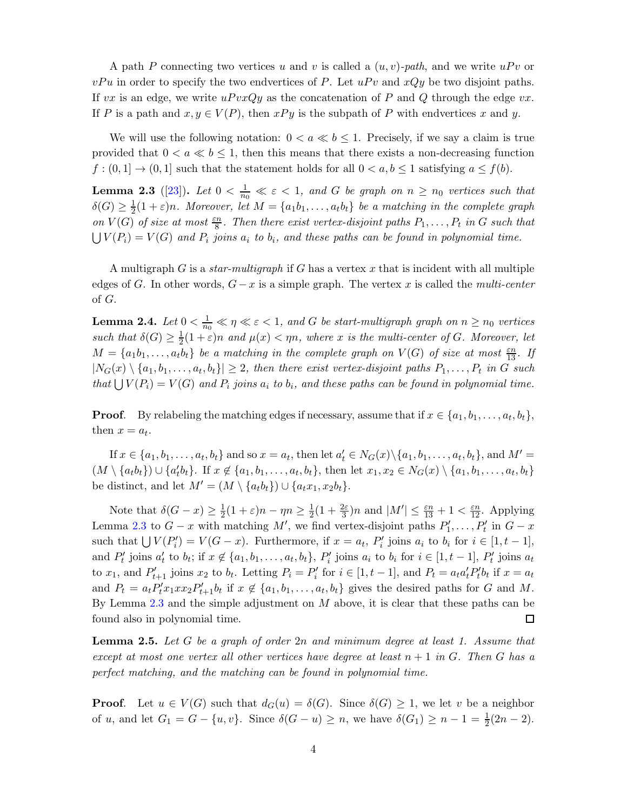A path P connecting two vertices u and v is called a  $(u, v)$ -path, and we write  $uPv$  or  $vPu$  in order to specify the two endvertices of P. Let  $uPv$  and  $xQy$  be two disjoint paths. If vx is an edge, we write  $uPvxQy$  as the concatenation of P and Q through the edge vx. If P is a path and  $x, y \in V(P)$ , then  $xPy$  is the subpath of P with endvertices x and y.

We will use the following notation:  $0 < a \ll b \leq 1$ . Precisely, if we say a claim is true provided that  $0 < a \ll b \leq 1$ , then this means that there exists a non-decreasing function  $f:(0,1] \rightarrow (0,1]$  such that the statement holds for all  $0 < a, b \le 1$  satisfying  $a \le f(b)$ .

<span id="page-3-0"></span>**Lemma 2.3** ([\[23\]](#page-30-3)). Let  $0 < \frac{1}{n_0} \ll \varepsilon < 1$ , and G be graph on  $n \ge n_0$  vertices such that  $\delta(G) \geq \frac{1}{2}$  $\frac{1}{2}(1+\varepsilon)n$ *. Moreover, let*  $M = \{a_1b_1, \ldots, a_tb_t\}$  *be a matching in the complete graph on*  $V(G)$  *of size at most*  $\frac{\varepsilon n}{8}$ *. Then there exist vertex-disjoint paths*  $P_1, \ldots, P_t$  *in G such that*  $\bigcup V(P_i) = V(G)$  and  $P_i$  joins  $a_i$  to  $b_i$ , and these paths can be found in polynomial time.

A multigraph G is a *star-multigraph* if G has a vertex x that is incident with all multiple edges of G. In other words, G− x is a simple graph. The vertex x is called the *multi-center* of G.

<span id="page-3-1"></span>**Lemma 2.4.** Let  $0 < \frac{1}{n_0} \ll \eta \ll \varepsilon < 1$ , and G be start-multigraph graph on  $n \ge n_0$  vertices *such that*  $\delta(G) \geq \frac{1}{2}$  $\frac{1}{2}(1+\varepsilon)n$  and  $\mu(x) < \eta n$ , where x is the multi-center of G. Moreover, let  $M = \{a_1b_1, \ldots, a_tb_t\}$  *be a matching in the complete graph on*  $V(G)$  *of size at most*  $\frac{\varepsilon n}{13}$ *. If*  $|N_G(x) \setminus \{a_1, b_1, \ldots, a_t, b_t\}| \geq 2$ , then there exist vertex-disjoint paths  $P_1, \ldots, P_t$  in G such *that*  $\bigcup V(P_i) = V(G)$  *and*  $P_i$  *joins*  $a_i$  *to*  $b_i$ *, and these paths can be found in polynomial time.* 

**Proof.** By relabeling the matching edges if necessary, assume that if  $x \in \{a_1, b_1, \ldots, a_t, b_t\}$ , then  $x = a_t$ .

If  $x \in \{a_1, b_1, \ldots, a_t, b_t\}$  and so  $x = a_t$ , then let  $a'_t \in N_G(x) \setminus \{a_1, b_1, \ldots, a_t, b_t\}$ , and  $M' =$  $(M \setminus \{a_t b_t\}) \cup \{a'_t b_t\}.$  If  $x \notin \{a_1, b_1, \ldots, a_t, b_t\}$ , then let  $x_1, x_2 \in N_G(x) \setminus \{a_1, b_1, \ldots, a_t, b_t\}$ be distinct, and let  $M' = (M \setminus \{a_t b_t\}) \cup \{a_t x_1, x_2 b_t\}.$ 

Note that  $\delta(G-x) \geq \frac{1}{2}(1+\varepsilon)n - \eta n \geq \frac{1}{2}(1+\frac{2\varepsilon}{3})n$  and  $|M'| \leq \frac{\varepsilon n}{13} + 1 < \frac{\varepsilon n}{12}$ . Applying Lemma [2.3](#page-3-0) to  $G - x$  with matching M', we find vertex-disjoint paths  $P'_1, \ldots, P'_t$  in  $G - x$ such that  $\bigcup V(P'_i) = V(G - x)$ . Furthermore, if  $x = a_t$ ,  $P'_i$  joins  $a_i$  to  $b_i$  for  $i \in [1, t - 1]$ , and  $P'_t$  joins  $a'_t$  to  $b_t$ ; if  $x \notin \{a_1, b_1, \ldots, a_t, b_t\}$ ,  $P'_i$  joins  $a_i$  to  $b_i$  for  $i \in [1, t-1]$ ,  $P'_t$  joins  $a_t$ to  $x_1$ , and  $P'_{t+1}$  joins  $x_2$  to  $b_t$ . Letting  $P_i = P'_i$  for  $i \in [1, t-1]$ , and  $P_t = a_t a'_t P'_t b_t$  if  $x = a_t$ and  $P_t = a_t P'_t x_1 x x_2 P'_{t+1} b_t$  if  $x \notin \{a_1, b_1, \ldots, a_t, b_t\}$  gives the desired paths for G and M. By Lemma [2.3](#page-3-0) and the simple adjustment on  $M$  above, it is clear that these paths can be found also in polynomial time.  $\Box$ 

<span id="page-3-2"></span>Lemma 2.5. *Let* G *be a graph of order* 2n *and minimum degree at least 1. Assume that except at most one vertex all other vertices have degree at least* n + 1 *in* G*. Then* G *has a perfect matching, and the matching can be found in polynomial time.*

**Proof.** Let  $u \in V(G)$  such that  $d_G(u) = \delta(G)$ . Since  $\delta(G) \geq 1$ , we let v be a neighbor of u, and let  $G_1 = G - \{u, v\}$ . Since  $\delta(G - u) \ge n$ , we have  $\delta(G_1) \ge n - 1 = \frac{1}{2}(2n - 2)$ .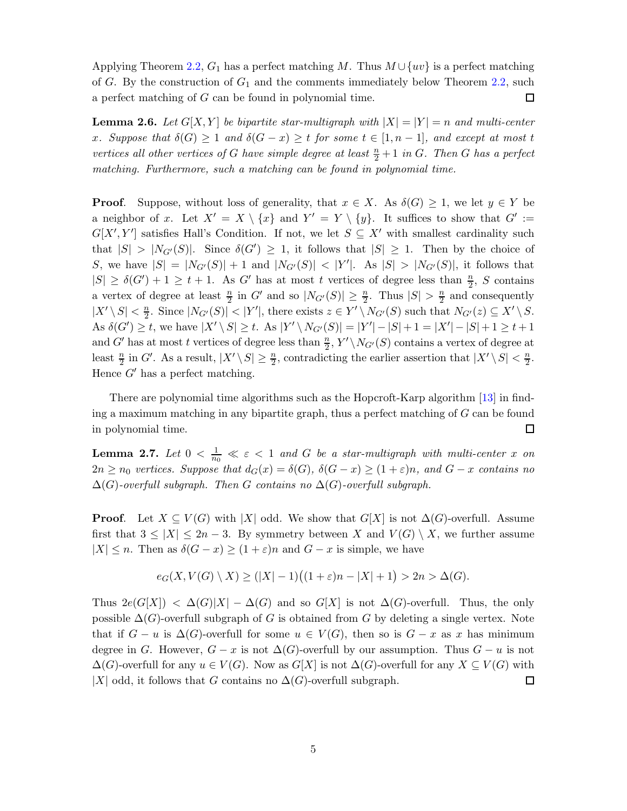Applying Theorem [2.2,](#page-2-1)  $G_1$  has a perfect matching M. Thus  $M \cup \{uv\}$  is a perfect matching of G. By the construction of  $G_1$  and the comments immediately below Theorem [2.2,](#page-2-1) such a perfect matching of G can be found in polynomial time.  $\Box$ 

<span id="page-4-1"></span>**Lemma 2.6.** Let  $G[X, Y]$  be bipartite star-multigraph with  $|X| = |Y| = n$  and multi-center x. Suppose that  $\delta(G) \geq 1$  and  $\delta(G - x) \geq t$  for some  $t \in [1, n - 1]$ *, and except at most* t *vertices all other vertices of* G *have simple degree at least*  $\frac{n}{2} + 1$  *in* G. Then G *has a perfect matching. Furthermore, such a matching can be found in polynomial time.*

**Proof.** Suppose, without loss of generality, that  $x \in X$ . As  $\delta(G) \geq 1$ , we let  $y \in Y$  be a neighbor of x. Let  $X' = X \setminus \{x\}$  and  $Y' = Y \setminus \{y\}$ . It suffices to show that  $G' :=$  $G[X', Y']$  satisfies Hall's Condition. If not, we let  $S \subseteq X'$  with smallest cardinality such that  $|S| > |N_{G'}(S)|$ . Since  $\delta(G') \geq 1$ , it follows that  $|S| \geq 1$ . Then by the choice of S, we have  $|S| = |N_{G'}(S)| + 1$  and  $|N_{G'}(S)| < |Y'|$ . As  $|S| > |N_{G'}(S)|$ , it follows that  $|S| \geq \delta(G') + 1 \geq t + 1$ . As G' has at most t vertices of degree less than  $\frac{n}{2}$ , S contains a vertex of degree at least  $\frac{n}{2}$  in G' and so  $|N_{G'}(S)| \geq \frac{n}{2}$ . Thus  $|S| > \frac{n}{2}$  $\frac{n}{2}$  and consequently  $|X' \setminus S| < \frac{n}{2}$  $\frac{n}{2}$ . Since  $|N_{G'}(S)| < |Y'|$ , there exists  $z \in Y' \setminus N_{G'}(S)$  such that  $N_{G'}(z) \subseteq X' \setminus S$ . As  $\delta(G') \geq t$ , we have  $|X' \setminus S| \geq t$ . As  $|Y' \setminus N_{G'}(S)| = |Y'| - |S| + 1 = |X'| - |S| + 1 \geq t + 1$ and G' has at most t vertices of degree less than  $\frac{n}{2}$ ,  $Y' \setminus N_{G'}(S)$  contains a vertex of degree at least  $\frac{n}{2}$  in G'. As a result,  $|X' \setminus S| \geq \frac{n}{2}$ , contradicting the earlier assertion that  $|X' \setminus S| < \frac{n}{2}$  $\frac{n}{2}$ . Hence  $G'$  has a perfect matching.

There are polynomial time algorithms such as the Hopcroft-Karp algorithm [\[13\]](#page-29-9) in finding a maximum matching in any bipartite graph, thus a perfect matching of  $G$  can be found in polynomial time.  $\Box$ 

<span id="page-4-0"></span>**Lemma 2.7.** Let  $0 < \frac{1}{n_0} \ll \varepsilon < 1$  and  $G$  be a star-multigraph with multi-center  $x$  on  $2n \geq n_0$  *vertices. Suppose that*  $d_G(x) = \delta(G)$ ,  $\delta(G - x) \geq (1 + \varepsilon)n$ , and  $G - x$  contains no  $\Delta(G)$ -overfull subgraph. Then G contains no  $\Delta(G)$ -overfull subgraph.

**Proof.** Let  $X \subseteq V(G)$  with |X| odd. We show that  $G[X]$  is not  $\Delta(G)$ -overfull. Assume first that  $3 \leq |X| \leq 2n-3$ . By symmetry between X and  $V(G) \setminus X$ , we further assume  $|X| \leq n$ . Then as  $\delta(G - x) \geq (1 + \varepsilon)n$  and  $G - x$  is simple, we have

$$
e_G(X, V(G) \setminus X) \ge (|X| - 1)((1 + \varepsilon)n - |X| + 1) > 2n > \Delta(G).
$$

Thus  $2e(G[X]) < \Delta(G)|X| - \Delta(G)$  and so  $G[X]$  is not  $\Delta(G)$ -overfull. Thus, the only possible  $\Delta(G)$ -overfull subgraph of G is obtained from G by deleting a single vertex. Note that if  $G - u$  is  $\Delta(G)$ -overfull for some  $u \in V(G)$ , then so is  $G - x$  as x has minimum degree in G. However,  $G - x$  is not  $\Delta(G)$ -overfull by our assumption. Thus  $G - u$  is not  $\Delta(G)$ -overfull for any  $u \in V(G)$ . Now as  $G[X]$  is not  $\Delta(G)$ -overfull for any  $X \subseteq V(G)$  with |X| odd, it follows that G contains no  $\Delta(G)$ -overfull subgraph.  $\Box$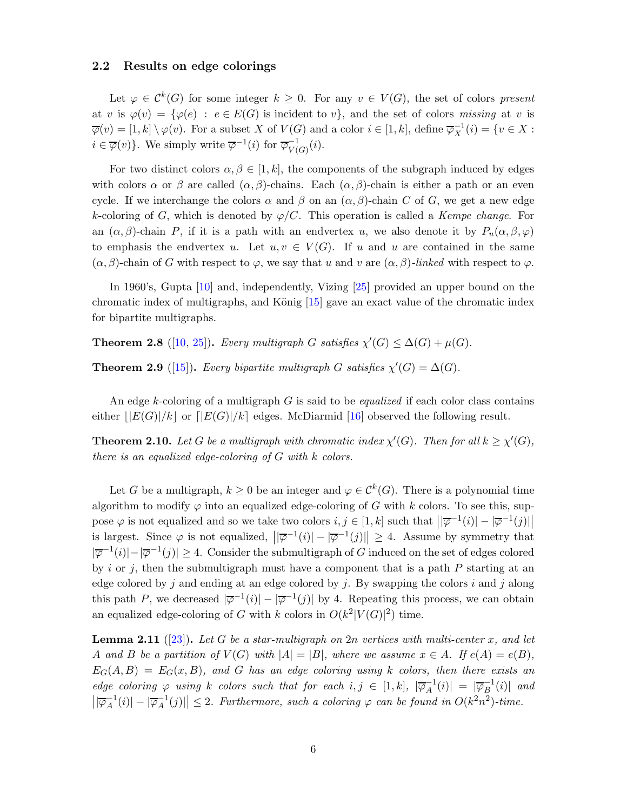### 2.2 Results on edge colorings

Let  $\varphi \in C^k(G)$  for some integer  $k \geq 0$ . For any  $v \in V(G)$ , the set of colors *present* at v is  $\varphi(v) = {\varphi(e)} : e \in E(G)$  is incident to v, and the set of colors missing at v is  $\overline{\varphi}(v) = [1, k] \setminus \varphi(v)$ . For a subset X of  $V(G)$  and a color  $i \in [1, k]$ , define  $\overline{\varphi}_X^{-1}$  $X^{-1}(i) = \{v \in X :$  $i \in \overline{\varphi}(v)$ . We simply write  $\overline{\varphi}^{-1}(i)$  for  $\overline{\varphi}_{V(i)}^{-1}$  $V(G)(i).$ 

For two distinct colors  $\alpha, \beta \in [1, k]$ , the components of the subgraph induced by edges with colors  $\alpha$  or  $\beta$  are called  $(\alpha, \beta)$ -chains. Each  $(\alpha, \beta)$ -chain is either a path or an even cycle. If we interchange the colors  $\alpha$  and  $\beta$  on an  $(\alpha, \beta)$ -chain C of G, we get a new edge k-coloring of G, which is denoted by  $\varphi$ /C. This operation is called a *Kempe change*. For an  $(\alpha, \beta)$ -chain P, if it is a path with an endvertex u, we also denote it by  $P_u(\alpha, \beta, \varphi)$ to emphasis the endvertex u. Let  $u, v \in V(G)$ . If u and u are contained in the same  $(\alpha, \beta)$ -chain of G with respect to  $\varphi$ , we say that u and v are  $(\alpha, \beta)$ -linked with respect to  $\varphi$ .

In 1960's, Gupta [\[10\]](#page-29-0) and, independently, Vizing [\[25\]](#page-30-0) provided an upper bound on the chromatic index of multigraphs, and König  $[15]$  gave an exact value of the chromatic index for bipartite multigraphs.

<span id="page-5-0"></span>**Theorem 2.8** ([\[10,](#page-29-0) [25\]](#page-30-0)). *Every multigraph* G *satisfies*  $\chi'(G) \leq \Delta(G) + \mu(G)$ *.* 

<span id="page-5-1"></span>**Theorem 2.9** ([\[15\]](#page-29-10)). *Every bipartite multigraph* G *satisfies*  $\chi'(G) = \Delta(G)$ *.* 

An edge k-coloring of a multigraph G is said to be *equalized* if each color class contains either  $||E(G)|/k$  or  $||E(G)|/k$  edges. McDiarmid [\[16\]](#page-29-11) observed the following result.

<span id="page-5-3"></span>**Theorem 2.10.** Let G be a multigraph with chromatic index  $\chi'(G)$ . Then for all  $k \geq \chi'(G)$ , *there is an equalized edge-coloring of* G *with* k *colors.*

Let G be a multigraph,  $k \geq 0$  be an integer and  $\varphi \in C^k(G)$ . There is a polynomial time algorithm to modify  $\varphi$  into an equalized edge-coloring of G with k colors. To see this, suppose  $\varphi$  is not equalized and so we take two colors  $i, j \in [1, k]$  such that  $||\overline{\varphi}^{-1}(i)| - |\overline{\varphi}^{-1}(j)||$  $||\psi (t)|| = |\psi (t)||$ is largest. Since  $\varphi$  is not equalized,  $||\overline{\varphi}^{-1}(i)|| - |\overline{\varphi}^{-1}(j)|| \geq 4$ . Assume by symmetry that  $|\overline{\varphi}^{-1}(i)| - |\overline{\varphi}^{-1}(j)| \geq 4$ . Consider the submultigraph of G induced on the set of edges colored by i or j, then the submultigraph must have a component that is a path  $P$  starting at an edge colored by j and ending at an edge colored by j. By swapping the colors i and j along this path P, we decreased  $|\overline{\varphi}^{-1}(i)| - |\overline{\varphi}^{-1}(j)|$  by 4. Repeating this process, we can obtain an equalized edge-coloring of G with k colors in  $O(k^2|V(G)|^2)$  time.

<span id="page-5-2"></span>Lemma 2.11 ([\[23\]](#page-30-3)). *Let* G *be a star-multigraph on* 2n *vertices with multi-center* x*, and let* A and B be a partition of  $V(G)$  with  $|A| = |B|$ , where we assume  $x \in A$ . If  $e(A) = e(B)$ ,  $E_G(A, B) = E_G(x, B)$ , and G has an edge coloring using k colors, then there exists an *edge coloring*  $\varphi$  *using* k *colors such that for each*  $i, j \in [1, k], |\overline{\varphi}_A^{-1}|$  $\overline{A}^{1}(i)| = |\overline{\varphi}_{B}^{-1}|$  $\overline{B}^{\perp}(i)|$  and  $\sqrt{\varphi_A^{-1}}$  $\overline{A}^1(i)|-|\overline{\varphi}_A^{-1}$  $\left|\frac{1}{A}(j)\right|\leq 2$ . Furthermore, such a coloring  $\varphi$  can be found in  $O(k^2n^2)$ -time.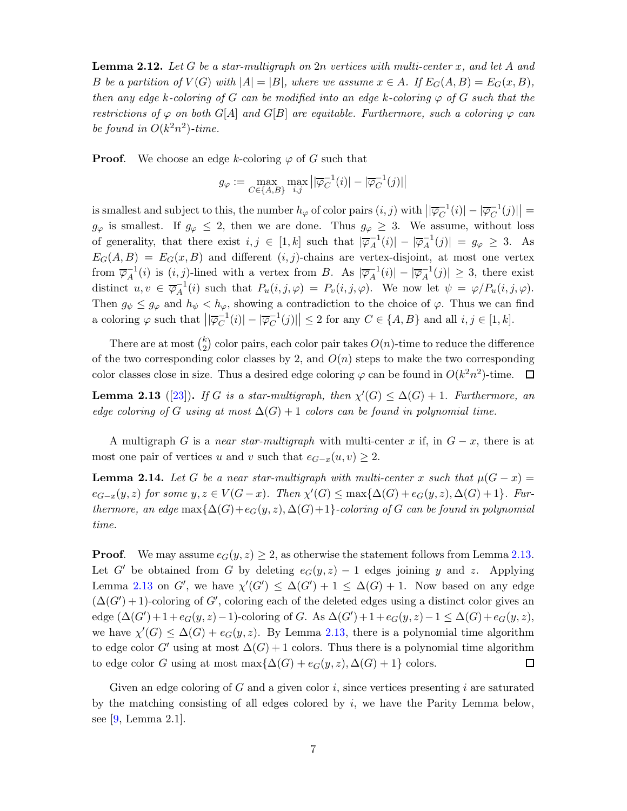<span id="page-6-2"></span>Lemma 2.12. *Let* G *be a star-multigraph on* 2n *vertices with multi-center* x*, and let* A *and* B be a partition of  $V(G)$  with  $|A| = |B|$ *, where we assume*  $x \in A$ *. If*  $E_G(A, B) = E_G(x, B)$ *, then any edge* k-coloring of G can be modified into an edge k-coloring  $\varphi$  of G such that the *restrictions of*  $\varphi$  *on both* G[A] *and* G[B] *are equitable. Furthermore, such a coloring*  $\varphi$  *can* be found in  $O(k^2n^2)$ -time.

**Proof.** We choose an edge k-coloring  $\varphi$  of G such that

$$
g_{\varphi} := \max_{C \in \{A, B\}} \max_{i,j} \left| \left| \overline{\varphi}_C^{-1}(i) \right| - \left| \overline{\varphi}_C^{-1}(j) \right| \right|
$$

is smallest and subject to this, the number  $h_{\varphi}$  of color pairs  $(i, j)$  with  $\left|\right|\overline{\varphi}_C^{-1}$  $\vert_C^{-1}(i)\vert - \vert \overline{\varphi}_C^{-1}$  $\left| \frac{1}{C} (j) \right| =$  $g_{\varphi}$  is smallest. If  $g_{\varphi} \leq 2$ , then we are done. Thus  $g_{\varphi} \geq 3$ . We assume, without loss of generality, that there exist  $i, j \in [1, k]$  such that  $|\overline{\varphi}_A^{-1}|$  $\overline{A}^1(i)| - |\overline{\varphi}_A^{-1}|$  $\vert A^{-1}(j) \vert = g_{\varphi} \geq 3.$  As  $E_G(A, B) = E_G(x, B)$  and different  $(i, j)$ -chains are vertex-disjoint, at most one vertex from  $\overline{\varphi}_A^{-1}$  $_{A}^{-1}(i)$  is  $(i, j)$ -lined with a vertex from B. As  $|\overline{\varphi}_A^{-1}|$  $\overline{A}^1(i)| - |\overline{\varphi}_A^{-1}|$  $_{A}^{-1}(j)| \geq 3$ , there exist distinct  $u, v \in \overline{\varphi}_A^{-1}$  $\overline{A}_A^{-1}(i)$  such that  $P_u(i,j,\varphi) = P_v(i,j,\varphi)$ . We now let  $\psi = \varphi/P_u(i,j,\varphi)$ . Then  $g_{\psi} \leq g_{\varphi}$  and  $h_{\psi} < h_{\varphi}$ , showing a contradiction to the choice of  $\varphi$ . Thus we can find a coloring  $\varphi$  such that  $\left| \overline{\varphi}_C^{-1} \right|$  $\frac{1}{C}$ <sup>1</sup> $(i)| - |\overline{\varphi}_C^{-1}$  $\left|\frac{C}{C}(j)\right|\leq 2$  for any  $C \in \{A, B\}$  and all  $i, j \in [1, k]$ .

There are at most  $\binom{k}{2}$  $\binom{k}{2}$  color pairs, each color pair takes  $O(n)$ -time to reduce the difference of the two corresponding color classes by 2, and  $O(n)$  steps to make the two corresponding color classes close in size. Thus a desired edge coloring  $\varphi$  can be found in  $O(k^2n^2)$ -time.  $\Box$ 

<span id="page-6-0"></span>**Lemma 2.13** ([\[23\]](#page-30-3)). *If* G is a star-multigraph, then  $\chi'(G) \leq \Delta(G) + 1$ . Furthermore, an *edge coloring of* G *using at most*  $\Delta(G) + 1$  *colors can be found in polynomial time.* 

A multigraph G is a *near star-multigraph* with multi-center x if, in  $G - x$ , there is at most one pair of vertices u and v such that  $e_{G-x}(u, v) \geq 2$ .

<span id="page-6-1"></span>**Lemma 2.14.** Let G be a near star-multigraph with multi-center x such that  $\mu(G - x) =$  $e_{G-x}(y, z)$  for some  $y, z \in V(G-x)$ . Then  $\chi'(G) \le \max{\{\Delta(G) + e_G(y, z), \Delta(G) + 1\}}$ . Fur*thermore, an edge* max $\{\Delta(G) + e_G(y, z), \Delta(G) + 1\}$ *-coloring of* G *can be found in polynomial time.*

**Proof.** We may assume  $e_G(y, z) \geq 2$ , as otherwise the statement follows from Lemma [2.13.](#page-6-0) Let G' be obtained from G by deleting  $e_G(y, z) - 1$  edges joining y and z. Applying Lemma [2.13](#page-6-0) on G', we have  $\chi'(G') \leq \Delta(G') + 1 \leq \Delta(G) + 1$ . Now based on any edge  $(\Delta(G') + 1)$ -coloring of G', coloring each of the deleted edges using a distinct color gives an edge  $(\Delta(G') + 1 + e_G(y, z) - 1)$ -coloring of G. As  $\Delta(G') + 1 + e_G(y, z) - 1 \leq \Delta(G) + e_G(y, z)$ , we have  $\chi'(G) \leq \Delta(G) + e_G(y, z)$ . By Lemma [2.13,](#page-6-0) there is a polynomial time algorithm to edge color G' using at most  $\Delta(G) + 1$  colors. Thus there is a polynomial time algorithm to edge color G using at most max $\{\Delta(G) + e_G(y, z), \Delta(G) + 1\}$  colors.  $\Box$ 

Given an edge coloring of  $G$  and a given color  $i$ , since vertices presenting  $i$  are saturated by the matching consisting of all edges colored by  $i$ , we have the Parity Lemma below, see [\[9,](#page-29-12) Lemma 2.1].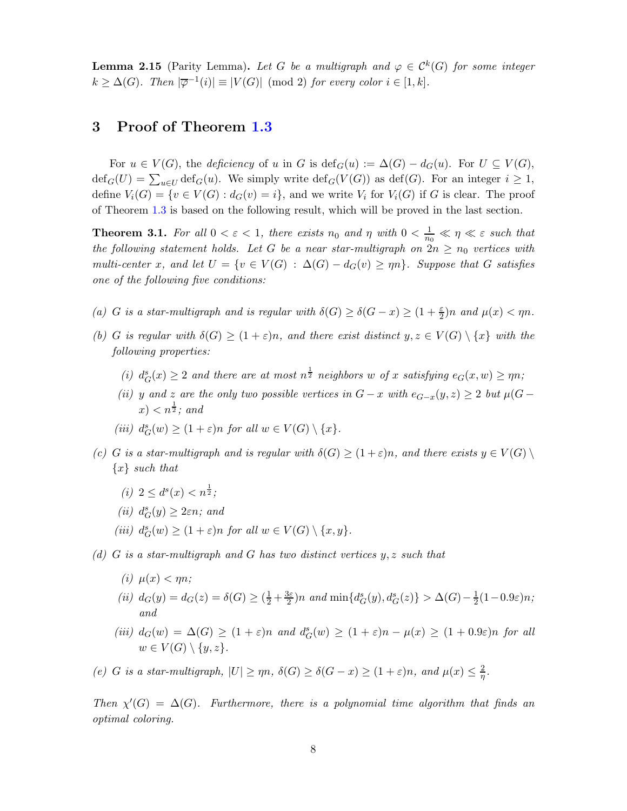**Lemma 2.15** (Parity Lemma). Let G be a multigraph and  $\varphi \in C^k(G)$  for some integer  $k \geq \Delta(G)$ . Then  $|\overline{\varphi}^{-1}(i)| \equiv |V(G)| \pmod{2}$  for every color  $i \in [1, k]$ .

# 3 Proof of Theorem [1.3](#page-2-0)

For  $u \in V(G)$ , the *deficiency* of u in G is  $\text{def}_G(u) := \Delta(G) - d_G(u)$ . For  $U \subseteq V(G)$ ,  $\text{def}_G(U) = \sum_{u \in U} \text{def}_G(u)$ . We simply write  $\text{def}_G(V(G))$  as  $\text{def}(G)$ . For an integer  $i \geq 1$ , define  $V_i(G) = \{v \in V(G) : d_G(v) = i\}$ , and we write  $V_i$  for  $V_i(G)$  if G is clear. The proof of Theorem [1.3](#page-2-0) is based on the following result, which will be proved in the last section.

<span id="page-7-0"></span>**Theorem 3.1.** For all  $0 < \varepsilon < 1$ , there exists  $n_0$  and  $\eta$  with  $0 < \frac{1}{n_0} \ll \eta \ll \varepsilon$  such that *the following statement holds. Let* G *be a near star-multigraph on*  $2n \ge n_0$  *vertices with multi-center* x, and let  $U = \{v \in V(G) : \Delta(G) - d_G(v) \geq \eta n\}$ . Suppose that G satisfies *one of the following five conditions:*

- (a) *G* is a star-multigraph and is regular with  $\delta(G) \geq \delta(G x) \geq (1 + \frac{\varepsilon}{2})n$  and  $\mu(x) < \eta n$ .
- *(b) G is regular with*  $\delta(G) \geq (1+\varepsilon)n$ *, and there exist distinct*  $y, z \in V(G) \setminus \{x\}$  *with the following properties:*
	- (*i*)  $d_G^s(x) \geq 2$  *and there are at most*  $n^{\frac{1}{2}}$  *neighbors* w *of* x *satisfying*  $e_G(x, w) \geq \eta n$ ;
	- *(ii)* y and z are the only two possible vertices in  $G x$  with  $e_{G-x}(y, z) \geq 2$  but  $\mu(G z)$  $(x) < n^{\frac{1}{2}}$ ; and
	- (*iii*)  $d_G^s(w) \ge (1 + \varepsilon)n$  *for all*  $w \in V(G) \setminus \{x\}.$
- *(c)* G *is a star-multigraph and is regular with*  $\delta(G) \geq (1+\varepsilon)n$ *, and there exists*  $y \in V(G) \setminus V(G)$ {x} *such that*
	- (*i*)  $2 \leq d^s(x) < n^{\frac{1}{2}}$ ;
	- $(ii) d_G^s(y) \geq 2\varepsilon n$ *;* and
	- (*iii*)  $d_G^s(w) \ge (1 + \varepsilon)n$  *for all*  $w \in V(G) \setminus \{x, y\}.$
- *(d)* G *is a star-multigraph and* G *has two distinct vertices* y, z *such that*
	- *(i)*  $\mu(x) < \eta n$ ;
	- *(ii)*  $d_G(y) = d_G(z) = \delta(G) \geq (\frac{1}{2} + \frac{3\varepsilon}{2})$  $\frac{3\varepsilon}{2}$ )n and  $\min\{d_G^s(y), d_G^s(z)\} > \Delta(G) - \frac{1}{2}$  $rac{1}{2}(1-0.9\varepsilon)n;$ *and*
	- (*iii*)  $d_G(w) = \Delta(G) \geq (1+\varepsilon)n$  and  $d_G^s(w) \geq (1+\varepsilon)n \mu(x) \geq (1+0.9\varepsilon)n$  for all  $w \in V(G) \setminus \{y, z\}.$

*(e) G is a star-multigraph,*  $|U| \ge \eta n$ ,  $\delta(G) \ge \delta(G - x) \ge (1 + \varepsilon)n$ , and  $\mu(x) \le \frac{2}{n}$  $\frac{2}{\eta}.$ 

*Then*  $\chi'(G) = \Delta(G)$ *. Furthermore, there is a polynomial time algorithm that finds an optimal coloring.*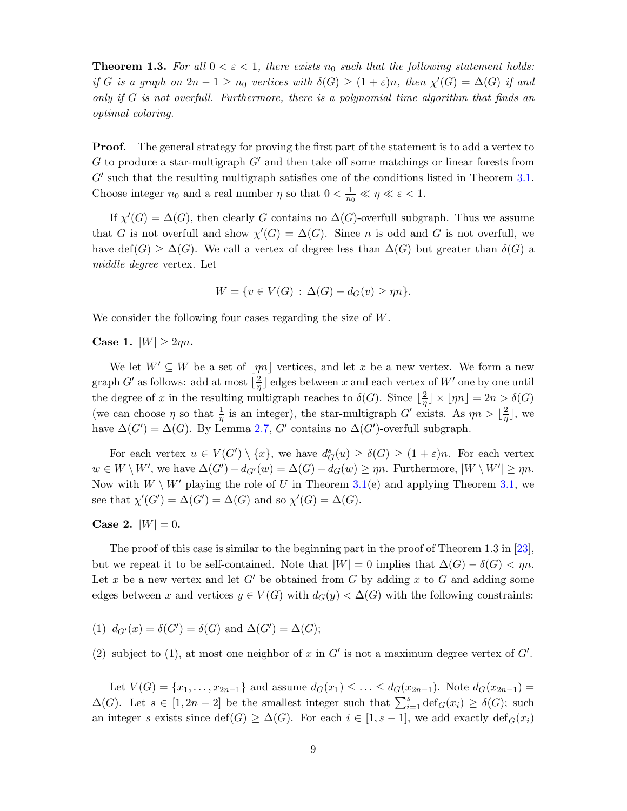**Theorem 1.3.** For all  $0 < \varepsilon < 1$ , there exists  $n_0$  such that the following statement holds: *if* G *is a graph on*  $2n - 1 \ge n_0$  *vertices with*  $\delta(G) \ge (1 + \varepsilon)n$ *, then*  $\chi'(G) = \Delta(G)$  *if and only if* G *is not overfull. Furthermore, there is a polynomial time algorithm that finds an optimal coloring.*

**Proof.** The general strategy for proving the first part of the statement is to add a vertex to G to produce a star-multigraph  $G'$  and then take off some matchings or linear forests from G' such that the resulting multigraph satisfies one of the conditions listed in Theorem [3.1.](#page-7-0) Choose integer  $n_0$  and a real number  $\eta$  so that  $0 < \frac{1}{n_0} \ll \eta \ll \varepsilon < 1$ .

If  $\chi'(G) = \Delta(G)$ , then clearly G contains no  $\Delta(G)$ -overfull subgraph. Thus we assume that G is not overfull and show  $\chi'(G) = \Delta(G)$ . Since n is odd and G is not overfull, we have def(G)  $\geq \Delta(G)$ . We call a vertex of degree less than  $\Delta(G)$  but greater than  $\delta(G)$  a *middle degree* vertex. Let

$$
W = \{ v \in V(G) : \Delta(G) - d_G(v) \ge \eta n \}.
$$

We consider the following four cases regarding the size of W.

Case 1.  $|W| \geq 2\eta n$ .

We let  $W' \subseteq W$  be a set of  $|\eta n|$  vertices, and let x be a new vertex. We form a new graph G' as follows: add at most  $\lfloor \frac{2}{n} \rfloor$  $\frac{2}{\eta}$  edges between x and each vertex of  $W'$  one by one until the degree of x in the resulting multigraph reaches to  $\delta(G)$ . Since  $\lfloor \frac{2}{n} \rfloor$  $\frac{2}{\eta}$   $\times$   $\lfloor \eta n \rfloor$  = 2n >  $\delta(G)$ (we can choose  $\eta$  so that  $\frac{1}{\eta}$  is an integer), the star-multigraph G' exists. As  $\eta n > \lfloor \frac{2}{\eta} \rfloor$  $\frac{2}{\eta}$ , we have  $\Delta(G') = \Delta(G)$ . By Lemma [2.7,](#page-4-0) G' contains no  $\Delta(G')$ -overfull subgraph.

For each vertex  $u \in V(G') \setminus \{x\}$ , we have  $d_G^s(u) \geq \delta(G) \geq (1+\varepsilon)n$ . For each vertex  $w \in W \setminus W'$ , we have  $\Delta(G') - d_{G'}(w) = \Delta(G) - d_G(w) \ge \eta n$ . Furthermore,  $|W \setminus W'| \ge \eta n$ . Now with  $W \setminus W'$  playing the role of U in Theorem [3.1\(](#page-7-0)e) and applying Theorem [3.1,](#page-7-0) we see that  $\chi'(G') = \Delta(G') = \Delta(G)$  and so  $\chi'(G) = \Delta(G)$ .

**Case 2.**  $|W| = 0$ .

The proof of this case is similar to the beginning part in the proof of Theorem 1.3 in [\[23\]](#page-30-3), but we repeat it to be self-contained. Note that  $|W| = 0$  implies that  $\Delta(G) - \delta(G) < \eta n$ . Let x be a new vertex and let  $G'$  be obtained from G by adding x to G and adding some edges between x and vertices  $y \in V(G)$  with  $d_G(y) < \Delta(G)$  with the following constraints:

(1) 
$$
d_{G'}(x) = \delta(G') = \delta(G)
$$
 and  $\Delta(G') = \Delta(G)$ ;

(2) subject to (1), at most one neighbor of x in  $G'$  is not a maximum degree vertex of  $G'$ .

Let  $V(G) = \{x_1, \ldots, x_{2n-1}\}\$ and assume  $d_G(x_1) \leq \ldots \leq d_G(x_{2n-1})\}$ . Note  $d_G(x_{2n-1}) =$  $\Delta(G)$ . Let  $s \in [1, 2n-2]$  be the smallest integer such that  $\sum_{i=1}^{s} \text{def}_G(x_i) \ge \delta(G)$ ; such an integer s exists since def(G)  $\geq \Delta(G)$ . For each  $i \in [1, s-1]$ , we add exactly def $_G(x_i)$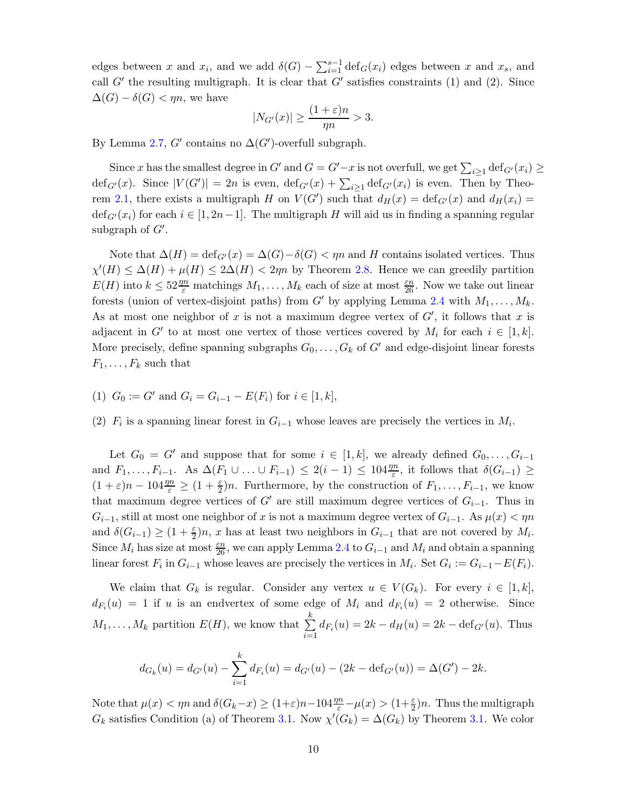edges between x and  $x_i$ , and we add  $\delta(G) - \sum_{i=1}^{s-1} \text{def}_G(x_i)$  edges between x and  $x_s$ , and call  $G'$  the resulting multigraph. It is clear that  $G'$  satisfies constraints (1) and (2). Since  $\Delta(G) - \delta(G) < \eta n$ , we have

$$
|N_{G'}(x)| \ge \frac{(1+\varepsilon)n}{\eta n} > 3.
$$

By Lemma [2.7,](#page-4-0) G' contains no  $\Delta(G')$ -overfull subgraph.

Since x has the smallest degree in  $G'$  and  $G = G'-x$  is not overfull, we get  $\sum_{i\geq 1} \det_{G'}(x_i) \geq$  $\text{def}_{G'}(x)$ . Since  $|V(G')|=2n$  is even,  $\text{def}_{G'}(x)+\sum_{i\geq 1}\text{def}_{G'}(x_i)$  is even. Then by Theo-rem [2.1,](#page-2-2) there exists a multigraph H on  $V(G')$  such that  $d_H(x) = \text{def}_{G'}(x)$  and  $d_H(x_i) =$  $\text{def}_{G'}(x_i)$  for each  $i \in [1, 2n-1]$ . The multigraph H will aid us in finding a spanning regular subgraph of  $G'$ .

Note that  $\Delta(H) = \text{def}_{G'}(x) = \Delta(G) - \delta(G) < \eta n$  and H contains isolated vertices. Thus  $\chi'(H) \leq \Delta(H) + \mu(H) \leq 2\Delta(H) < 2\eta n$  by Theorem [2.8.](#page-5-0) Hence we can greedily partition  $E(H)$  into  $k \leq 52 \frac{m}{\varepsilon}$  matchings  $M_1, \ldots, M_k$  each of size at most  $\frac{\varepsilon n}{26}$ . Now we take out linear forests (union of vertex-disjoint paths) from G' by applying Lemma [2.4](#page-3-1) with  $M_1, \ldots, M_k$ . As at most one neighbor of x is not a maximum degree vertex of  $G'$ , it follows that x is adjacent in G' to at most one vertex of those vertices covered by  $M_i$  for each  $i \in [1, k]$ . More precisely, define spanning subgraphs  $G_0, \ldots, G_k$  of  $G'$  and edge-disjoint linear forests  $F_1, \ldots, F_k$  such that

- (1)  $G_0 := G'$  and  $G_i = G_{i-1} E(F_i)$  for  $i \in [1, k]$ ,
- (2)  $F_i$  is a spanning linear forest in  $G_{i-1}$  whose leaves are precisely the vertices in  $M_i$ .

Let  $G_0 = G'$  and suppose that for some  $i \in [1, k]$ , we already defined  $G_0, \ldots, G_{i-1}$ and  $F_1, \ldots, F_{i-1}$ . As  $\Delta(F_1 \cup \ldots \cup F_{i-1}) \leq 2(i-1) \leq 104 \frac{\eta n}{\varepsilon}$ , it follows that  $\delta(G_{i-1}) \geq$  $(1+\varepsilon)n - 104\frac{m}{\varepsilon} \ge (1+\frac{\varepsilon}{2})n$ . Furthermore, by the construction of  $F_1, \ldots, F_{i-1}$ , we know that maximum degree vertices of G' are still maximum degree vertices of  $G_{i-1}$ . Thus in  $G_{i-1}$ , still at most one neighbor of x is not a maximum degree vertex of  $G_{i-1}$ . As  $\mu(x) < \eta n$ and  $\delta(G_{i-1}) \geq (1+\frac{\varepsilon}{2})n$ , x has at least two neighbors in  $G_{i-1}$  that are not covered by  $M_i$ . Since  $M_i$  has size at most  $\frac{\varepsilon n}{26}$ , we can apply Lemma [2.4](#page-3-1) to  $G_{i-1}$  and  $M_i$  and obtain a spanning linear forest  $F_i$  in  $G_{i-1}$  whose leaves are precisely the vertices in  $M_i$ . Set  $G_i := G_{i-1} - E(F_i)$ .

We claim that  $G_k$  is regular. Consider any vertex  $u \in V(G_k)$ . For every  $i \in [1, k]$ ,  $d_{F_i}(u) = 1$  if u is an endvertex of some edge of  $M_i$  and  $d_{F_i}(u) = 2$  otherwise. Since  $M_1, \ldots, M_k$  partition  $E(H)$ , we know that  $\sum_{k=1}^{k}$  $\sum_{i=1} d_{F_i}(u) = 2k - d_H(u) = 2k - \text{def}_{G'}(u)$ . Thus

$$
d_{G_k}(u) = d_{G'}(u) - \sum_{i=1}^k d_{F_i}(u) = d_{G'}(u) - (2k - \text{def}_{G'}(u)) = \Delta(G') - 2k.
$$

Note that  $\mu(x) < \eta n$  and  $\delta(G_k-x) \ge (1+\varepsilon)n - 104\frac{\eta n}{\varepsilon} - \mu(x) > (1+\frac{\varepsilon}{2})n$ . Thus the multigraph  $G_k$  satisfies Condition (a) of Theorem [3.1.](#page-7-0) Now  $\chi'(G_k) = \Delta(G_k)$  by Theorem 3.1. We color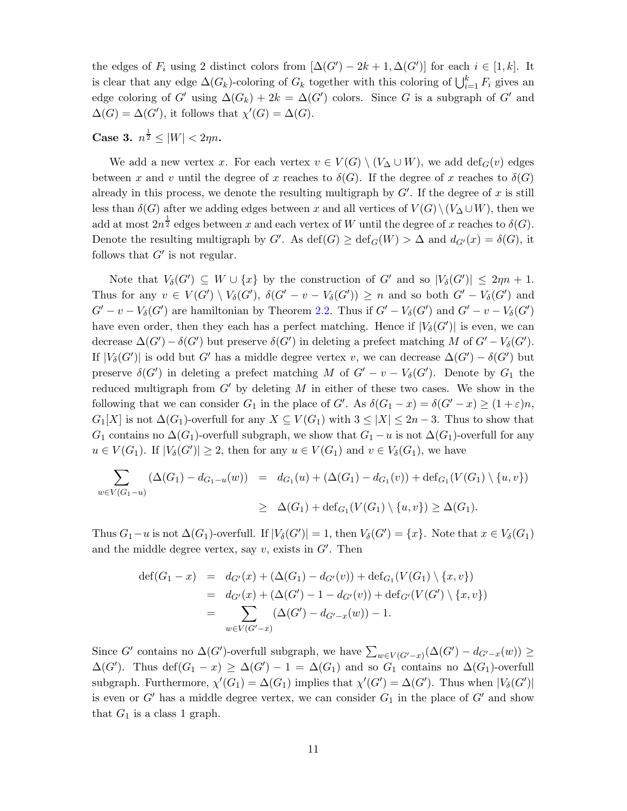the edges of  $F_i$  using 2 distinct colors from  $[\Delta(G') - 2k + 1, \Delta(G')]$  for each  $i \in [1, k]$ . It is clear that any edge  $\Delta(G_k)$ -coloring of  $G_k$  together with this coloring of  $\bigcup_{i=1}^k F_i$  gives an edge coloring of G' using  $\Delta(G_k) + 2k = \Delta(G')$  colors. Since G is a subgraph of G' and  $\Delta(G) = \Delta(G')$ , it follows that  $\chi'(G) = \Delta(G)$ .

**Case 3.**  $n^{\frac{1}{2}} \leq |W| < 2\eta n$ .

We add a new vertex x. For each vertex  $v \in V(G) \setminus (V_{\Delta} \cup W)$ , we add  $\text{def}_G(v)$  edges between x and v until the degree of x reaches to  $\delta(G)$ . If the degree of x reaches to  $\delta(G)$ already in this process, we denote the resulting multigraph by  $G'$ . If the degree of x is still less than  $\delta(G)$  after we adding edges between x and all vertices of  $V(G)\setminus (V_{\Delta}\cup W)$ , then we add at most  $2n^{\frac{1}{2}}$  edges between x and each vertex of W until the degree of x reaches to  $\delta(G)$ . Denote the resulting multigraph by  $G'$ . As  $\text{def}(G) \geq \text{def}_G(W) > \Delta$  and  $d_{G'}(x) = \delta(G)$ , it follows that  $G'$  is not regular.

Note that  $V_{\delta}(G') \subseteq W \cup \{x\}$  by the construction of G' and so  $|V_{\delta}(G')| \leq 2\eta n + 1$ . Thus for any  $v \in V(G') \setminus V_{\delta}(G')$ ,  $\delta(G' - v - V_{\delta}(G')) \geq n$  and so both  $G' - V_{\delta}(G')$  and  $G' - v - V_{\delta}(G')$  are hamiltonian by Theorem [2.2.](#page-2-1) Thus if  $G' - V_{\delta}(G')$  and  $G' - v - V_{\delta}(G')$ have even order, then they each has a perfect matching. Hence if  $|V_{\delta}(G')|$  is even, we can decrease  $\Delta(G') - \delta(G')$  but preserve  $\delta(G')$  in deleting a prefect matching M of  $G' - V_{\delta}(G')$ . If  $|V_\delta(G')|$  is odd but G' has a middle degree vertex v, we can decrease  $\Delta(G') - \delta(G')$  but preserve  $\delta(G')$  in deleting a prefect matching M of  $G' - v - V_{\delta}(G')$ . Denote by  $G_1$  the reduced multigraph from  $G'$  by deleting M in either of these two cases. We show in the following that we can consider  $G_1$  in the place of  $G'$ . As  $\delta(G_1 - x) = \delta(G' - x) \ge (1 + \varepsilon)n$ ,  $G_1[X]$  is not  $\Delta(G_1)$ -overfull for any  $X \subseteq V(G_1)$  with  $3 \leq |X| \leq 2n-3$ . Thus to show that  $G_1$  contains no  $\Delta(G_1)$ -overfull subgraph, we show that  $G_1 - u$  is not  $\Delta(G_1)$ -overfull for any  $u \in V(G_1)$ . If  $|V_\delta(G')| \geq 2$ , then for any  $u \in V(G_1)$  and  $v \in V_\delta(G_1)$ , we have

$$
\sum_{w \in V(G_1 - u)} (\Delta(G_1) - d_{G_1 - u}(w)) = d_{G_1}(u) + (\Delta(G_1) - d_{G_1}(v)) + \text{def}_{G_1}(V(G_1) \setminus \{u, v\})
$$
\n
$$
\geq \Delta(G_1) + \text{def}_{G_1}(V(G_1) \setminus \{u, v\}) \geq \Delta(G_1).
$$

Thus  $G_1-u$  is not  $\Delta(G_1)$ -overfull. If  $|V_\delta(G')|=1$ , then  $V_\delta(G')=\{x\}$ . Note that  $x \in V_\delta(G_1)$ and the middle degree vertex, say  $v$ , exists in  $G'$ . Then

$$
def(G_1 - x) = d_{G'}(x) + (\Delta(G_1) - d_{G'}(v)) + def_{G_1}(V(G_1) \setminus \{x, v\})
$$
  
= d\_{G'}(x) + (\Delta(G') - 1 - d\_{G'}(v)) + def\_{G'}(V(G') \setminus \{x, v\})  
= 
$$
\sum_{w \in V(G' - x)} (\Delta(G') - d_{G' - x}(w)) - 1.
$$

Since G' contains no  $\Delta(G')$ -overfull subgraph, we have  $\sum_{w \in V(G'-x)} (\Delta(G') - d_{G'-x}(w)) \ge$  $\Delta(G')$ . Thus def $(G_1 - x) \geq \Delta(G') - 1 = \Delta(G_1)$  and so  $G_1$  contains no  $\Delta(G_1)$ -overfull subgraph. Furthermore,  $\chi'(G_1) = \Delta(G_1)$  implies that  $\chi'(G') = \Delta(G')$ . Thus when  $|V_\delta(G')|$ is even or  $G'$  has a middle degree vertex, we can consider  $G_1$  in the place of  $G'$  and show that  $G_1$  is a class 1 graph.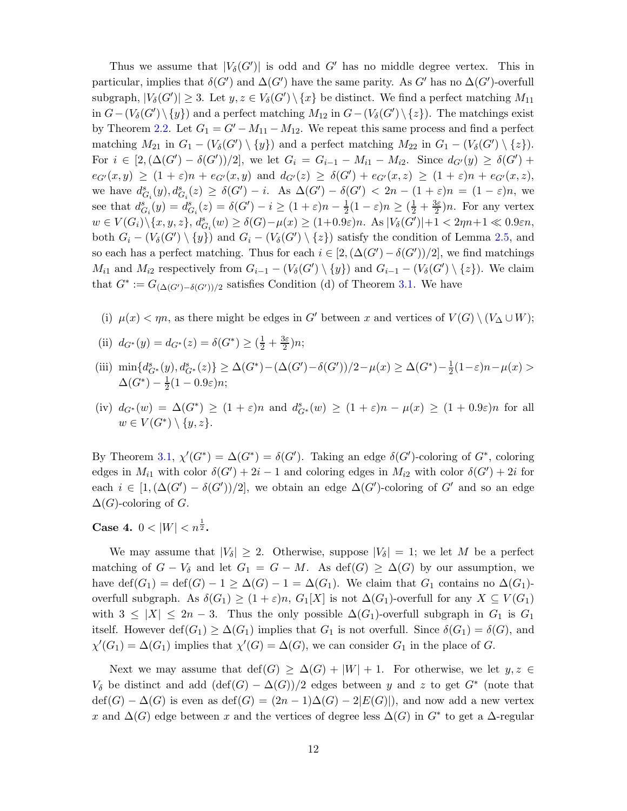Thus we assume that  $|V_\delta(G')|$  is odd and G' has no middle degree vertex. This in particular, implies that  $\delta(G')$  and  $\Delta(G')$  have the same parity. As G' has no  $\Delta(G')$ -overfull subgraph,  $|V_\delta(G')| \geq 3$ . Let  $y, z \in V_\delta(G') \setminus \{x\}$  be distinct. We find a perfect matching  $M_{11}$ in  $G-(V_\delta(G')\setminus\{y\})$  and a perfect matching  $M_{12}$  in  $G-(V_\delta(G')\setminus\{z\})$ . The matchings exist by Theorem [2.2.](#page-2-1) Let  $G_1 = G' - M_{11} - M_{12}$ . We repeat this same process and find a perfect matching  $M_{21}$  in  $G_1 - (V_\delta(G') \setminus \{y\})$  and a perfect matching  $M_{22}$  in  $G_1 - (V_\delta(G') \setminus \{z\})$ . For  $i \in [2, (\Delta(G') - \delta(G'))/2]$ , we let  $G_i = G_{i-1} - M_{i1} - M_{i2}$ . Since  $d_{G'}(y) \ge \delta(G')$  +  $e_{G'}(x,y) \ge (1+\varepsilon)n + e_{G'}(x,y)$  and  $d_{G'}(z) \ge \delta(G') + e_{G'}(x,z) \ge (1+\varepsilon)n + e_{G'}(x,z)$ , we have  $d_{G_i}^s(y), d_{G_i}^s(z) \geq \delta(G') - i$ . As  $\Delta(G') - \delta(G') < 2n - (1 + \varepsilon)n = (1 - \varepsilon)n$ , we see that  $d_{G_i}^s(y) = d_{G_i}^s(z) = \delta(G') - i \geq (1 + \varepsilon)n - \frac{1}{2}(1 - \varepsilon)n \geq (\frac{1}{2} + \frac{3\varepsilon}{2})n$ . For any vertex  $w \in V(G_i) \setminus \{x, y, z\}, d_{G_i}^s(w) \geq \delta(G) - \mu(x) \geq (1 + 0.9\varepsilon)n$ . As  $|V_{\delta}(G')| + 1 < 2\eta n + 1 \ll 0.9\varepsilon n$ , both  $G_i - (V_\delta(G') \setminus \{y\})$  and  $G_i - (V_\delta(G') \setminus \{z\})$  satisfy the condition of Lemma [2.5,](#page-3-2) and so each has a perfect matching. Thus for each  $i \in [2, (\Delta(G') - \delta(G'))/2]$ , we find matchings  $M_{i1}$  and  $M_{i2}$  respectively from  $G_{i-1} - (V_{\delta}(G') \setminus \{y\})$  and  $G_{i-1} - (V_{\delta}(G') \setminus \{z\})$ . We claim that  $G^* := G_{(\Delta(G') - \delta(G'))/2}$  satisfies Condition (d) of Theorem [3.1.](#page-7-0) We have

- (i)  $\mu(x) < \eta n$ , as there might be edges in G' between x and vertices of  $V(G) \setminus (V_{\Delta} \cup W)$ ;
- (ii)  $d_{G^*}(y) = d_{G^*}(z) = \delta(G^*) \geq (\frac{1}{2} + \frac{3\varepsilon}{2})$  $\frac{3\varepsilon}{2})n;$
- (iii)  $\min\{d_{G^*}^s(y), d_{G^*}^s(z)\} \geq \Delta(G^*) (\Delta(G') \delta(G'))/2 \mu(x) \geq \Delta(G^*) \frac{1}{2}$  $\frac{1}{2}(1-\varepsilon)n-\mu(x) >$  $\Delta(G^*)-\frac{1}{2}$  $rac{1}{2}(1-0.9\varepsilon)n;$
- (iv)  $d_{G^*}(w) = \Delta(G^*) \ge (1+\varepsilon)n$  and  $d_{G^*}^s(w) \ge (1+\varepsilon)n \mu(x) \ge (1+0.9\varepsilon)n$  for all  $w \in V(G^*) \setminus \{y, z\}.$

By Theorem [3.1,](#page-7-0)  $\chi'(G^*) = \Delta(G^*) = \delta(G')$ . Taking an edge  $\delta(G')$ -coloring of  $G^*$ , coloring edges in  $M_{i1}$  with color  $\delta(G') + 2i - 1$  and coloring edges in  $M_{i2}$  with color  $\delta(G') + 2i$  for each  $i \in [1, (\Delta(G') - \delta(G'))/2]$ , we obtain an edge  $\Delta(G')$ -coloring of G' and so an edge  $\Delta(G)$ -coloring of G.

Case 4.  $0 < |W| < n^{\frac{1}{2}}$ .

We may assume that  $|V_\delta| \geq 2$ . Otherwise, suppose  $|V_\delta| = 1$ ; we let M be a perfect matching of  $G - V_{\delta}$  and let  $G_1 = G - M$ . As def(G)  $\geq \Delta(G)$  by our assumption, we have def $(G_1) = \text{def}(G) - 1 \geq \Delta(G) - 1 = \Delta(G_1)$ . We claim that  $G_1$  contains no  $\Delta(G_1)$ overfull subgraph. As  $\delta(G_1) \geq (1+\varepsilon)n$ ,  $G_1[X]$  is not  $\Delta(G_1)$ -overfull for any  $X \subseteq V(G_1)$ with  $3 \leq |X| \leq 2n-3$ . Thus the only possible  $\Delta(G_1)$ -overfull subgraph in  $G_1$  is  $G_1$ itself. However  $\text{def}(G_1) \geq \Delta(G_1)$  implies that  $G_1$  is not overfull. Since  $\delta(G_1) = \delta(G)$ , and  $\chi'(G_1) = \Delta(G_1)$  implies that  $\chi'(G) = \Delta(G)$ , we can consider  $G_1$  in the place of G.

Next we may assume that  $\text{def}(G) \geq \Delta(G) + |W| + 1$ . For otherwise, we let  $y, z \in$  $V_{\delta}$  be distinct and add  $(\text{def}(G) - \Delta(G))/2$  edges between y and z to get  $G^*$  (note that  $\text{def}(G) - \Delta(G)$  is even as  $\text{def}(G) = (2n - 1)\Delta(G) - 2|E(G)|$ , and now add a new vertex x and  $\Delta(G)$  edge between x and the vertices of degree less  $\Delta(G)$  in  $G^*$  to get a  $\Delta$ -regular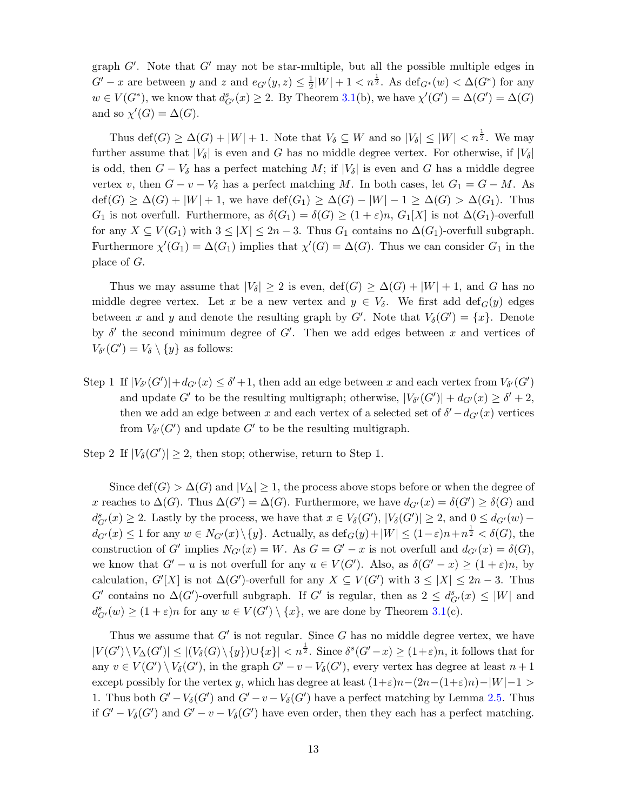graph  $G'$ . Note that  $G'$  may not be star-multiple, but all the possible multiple edges in  $G'-x$  are between y and z and  $e_{G'}(y, z) \leq \frac{1}{2}$  $\frac{1}{2}|W| + 1 < n^{\frac{1}{2}}$ . As  $\text{def}_{G^*}(w) < \Delta(G^*)$  for any  $w \in V(G^*)$ , we know that  $d^s_{G'}(x) \geq 2$ . By Theorem [3.1\(](#page-7-0)b), we have  $\chi'(G') = \Delta(G') = \Delta(G)$ and so  $\chi'(G) = \Delta(G)$ .

Thus  $\text{def}(G) \geq \Delta(G) + |W| + 1$ . Note that  $V_{\delta} \subseteq W$  and so  $|V_{\delta}| \leq |W| < n^{\frac{1}{2}}$ . We may further assume that  $|V_\delta|$  is even and G has no middle degree vertex. For otherwise, if  $|V_\delta|$ is odd, then  $G - V_{\delta}$  has a perfect matching M; if  $|V_{\delta}|$  is even and G has a middle degree vertex v, then  $G - v - V_{\delta}$  has a perfect matching M. In both cases, let  $G_1 = G - M$ . As  $\text{def}(G) \geq \Delta(G) + |W| + 1$ , we have  $\text{def}(G_1) \geq \Delta(G) - |W| - 1 \geq \Delta(G) > \Delta(G_1)$ . Thus  $G_1$  is not overfull. Furthermore, as  $\delta(G_1) = \delta(G) \geq (1+\varepsilon)n$ ,  $G_1[X]$  is not  $\Delta(G_1)$ -overfull for any  $X \subseteq V(G_1)$  with  $3 \leq |X| \leq 2n-3$ . Thus  $G_1$  contains no  $\Delta(G_1)$ -overfull subgraph. Furthermore  $\chi'(G_1) = \Delta(G_1)$  implies that  $\chi'(G) = \Delta(G)$ . Thus we can consider  $G_1$  in the place of G.

Thus we may assume that  $|V_{\delta}| \geq 2$  is even,  $\text{def}(G) \geq \Delta(G) + |W| + 1$ , and G has no middle degree vertex. Let x be a new vertex and  $y \in V_{\delta}$ . We first add def<sub>G</sub>(y) edges between x and y and denote the resulting graph by  $G'$ . Note that  $V_{\delta}(G') = \{x\}$ . Denote by  $\delta'$  the second minimum degree of  $G'$ . Then we add edges between x and vertices of  $V_{\delta'}(G') = V_{\delta} \setminus \{y\}$  as follows:

Step 1 If  $|V_{\delta'}(G')| + d_{G'}(x) \leq \delta' + 1$ , then add an edge between x and each vertex from  $V_{\delta'}(G')$ and update G' to be the resulting multigraph; otherwise,  $|V_{\delta'}(G')| + d_{G'}(x) \ge \delta' + 2$ , then we add an edge between x and each vertex of a selected set of  $\delta' - d_{G'}(x)$  vertices from  $V_{\delta'}(G')$  and update  $G'$  to be the resulting multigraph.

Step 2 If  $|V_{\delta}(G')| \geq 2$ , then stop; otherwise, return to Step 1.

Since def(G) >  $\Delta(G)$  and  $|V_{\Delta}| \geq 1$ , the process above stops before or when the degree of x reaches to  $\Delta(G)$ . Thus  $\Delta(G') = \Delta(G)$ . Furthermore, we have  $d_{G'}(x) = \delta(G') \geq \delta(G)$  and  $d_{G'}^s(x) \geq 2$ . Lastly by the process, we have that  $x \in V_\delta(G')$ ,  $|V_\delta(G')| \geq 2$ , and  $0 \leq d_{G'}(w)$  $d_{G'}(x) \leq 1$  for any  $w \in N_{G'}(x) \setminus \{y\}$ . Actually, as  $\text{def}_G(y) + |W| \leq (1 - \varepsilon)n + n^{\frac{1}{2}} < \delta(G)$ , the construction of G' implies  $N_{G'}(x) = W$ . As  $G = G' - x$  is not overfull and  $d_{G'}(x) = \delta(G)$ , we know that  $G'-u$  is not overfull for any  $u \in V(G')$ . Also, as  $\delta(G'-x) \ge (1+\varepsilon)n$ , by calculation,  $G'[X]$  is not  $\Delta(G')$ -overfull for any  $X \subseteq V(G')$  with  $3 \leq |X| \leq 2n-3$ . Thus G' contains no  $\Delta(G')$ -overfull subgraph. If G' is regular, then as  $2 \leq d_{G'}^s(x) \leq |W|$  and  $d_{G'}^s(w) \ge (1+\varepsilon)n$  for any  $w \in V(G') \setminus \{x\}$ , we are done by Theorem [3.1\(](#page-7-0)c).

Thus we assume that  $G'$  is not regular. Since  $G$  has no middle degree vertex, we have  $|V(G')\setminus V_\Delta(G')|\leq |(V_\delta(G)\setminus\{y\})\cup\{x\}| < n^{\frac{1}{2}}$ . Since  $\delta^s(G'-x)\geq (1+\varepsilon)n$ , it follows that for any  $v \in V(G') \setminus V_{\delta}(G')$ , in the graph  $G' - v - V_{\delta}(G')$ , every vertex has degree at least  $n+1$ except possibly for the vertex y, which has degree at least  $(1+\varepsilon)n-(2n-(1+\varepsilon)n)-|W|-1 >$ 1. Thus both  $G'-V_\delta(G')$  and  $G'-v-V_\delta(G')$  have a perfect matching by Lemma [2.5.](#page-3-2) Thus if  $G' - V_{\delta}(G')$  and  $G' - v - V_{\delta}(G')$  have even order, then they each has a perfect matching.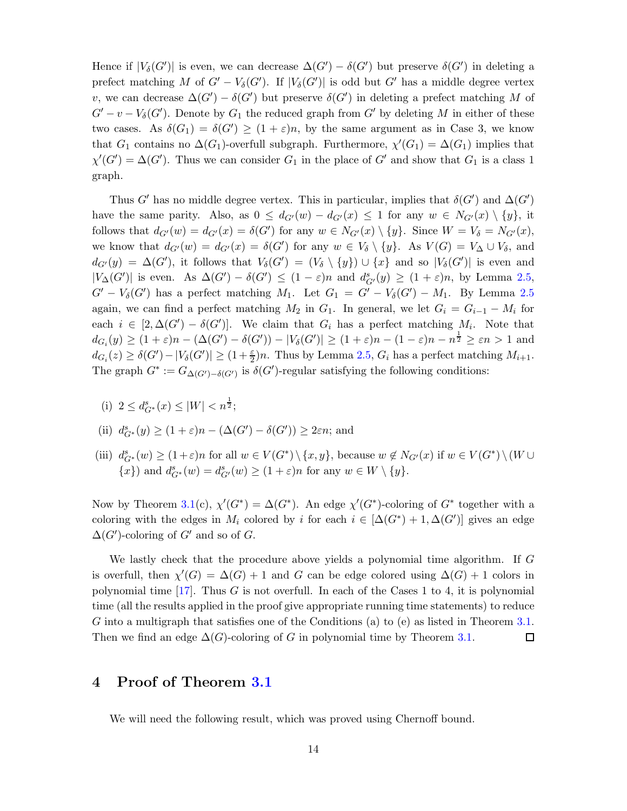Hence if  $|V_\delta(G')|$  is even, we can decrease  $\Delta(G') - \delta(G')$  but preserve  $\delta(G')$  in deleting a prefect matching M of  $G' - V_{\delta}(G')$ . If  $|V_{\delta}(G')|$  is odd but G' has a middle degree vertex v, we can decrease  $\Delta(G') - \delta(G')$  but preserve  $\delta(G')$  in deleting a prefect matching M of  $G' - v - V_{\delta}(G')$ . Denote by  $G_1$  the reduced graph from  $G'$  by deleting M in either of these two cases. As  $\delta(G_1) = \delta(G') \ge (1 + \varepsilon)n$ , by the same argument as in Case 3, we know that  $G_1$  contains no  $\Delta(G_1)$ -overfull subgraph. Furthermore,  $\chi'(G_1) = \Delta(G_1)$  implies that  $\chi'(G') = \Delta(G')$ . Thus we can consider  $G_1$  in the place of G' and show that  $G_1$  is a class 1 graph.

Thus G' has no middle degree vertex. This in particular, implies that  $\delta(G')$  and  $\Delta(G')$ have the same parity. Also, as  $0 \leq d_{G'}(w) - d_{G'}(x) \leq 1$  for any  $w \in N_{G'}(x) \setminus \{y\}$ , it follows that  $d_{G'}(w) = d_{G'}(x) = \delta(G')$  for any  $w \in N_{G'}(x) \setminus \{y\}$ . Since  $W = V_{\delta} = N_{G'}(x)$ , we know that  $d_{G'}(w) = d_{G'}(x) = \delta(G')$  for any  $w \in V_{\delta} \setminus \{y\}$ . As  $V(G) = V_{\Delta} \cup V_{\delta}$ , and  $d_{G'}(y) = \Delta(G')$ , it follows that  $V_{\delta}(G') = (V_{\delta} \setminus \{y\}) \cup \{x\}$  and so  $|V_{\delta}(G')|$  is even and  $|V_\Delta(G')|$  is even. As  $\Delta(G') - \delta(G') \leq (1 - \varepsilon)n$  and  $d_{G'}^s(y) \geq (1 + \varepsilon)n$ , by Lemma [2.5,](#page-3-2)  $G' - V_{\delta}(G')$  has a perfect matching  $M_1$ . Let  $G_1 = G' - V_{\delta}(G') - M_1$ . By Lemma [2.5](#page-3-2) again, we can find a perfect matching  $M_2$  in  $G_1$ . In general, we let  $G_i = G_{i-1} - M_i$  for each  $i \in [2, \Delta(G') - \delta(G')]$ . We claim that  $G_i$  has a perfect matching  $M_i$ . Note that  $d_{G_i}(y) \geq (1+\varepsilon)n - (\Delta(G') - \delta(G')) - |V_\delta(G')| \geq (1+\varepsilon)n - (1-\varepsilon)n - n^{\frac{1}{2}} \geq \varepsilon n > 1$  and  $d_{G_i}(z) \geq \delta(G') - |V_\delta(G')| \geq (1 + \frac{\varepsilon}{2})n$ . Thus by Lemma [2.5,](#page-3-2)  $G_i$  has a perfect matching  $M_{i+1}$ . The graph  $G^* := G_{\Delta(G') - \delta(G')}$  is  $\delta(G')$ -regular satisfying the following conditions:

(i)  $2 \le d_{G^*}^s(x) \le |W| < n^{\frac{1}{2}};$ 

(ii) 
$$
d_{G^*}^s(y) \ge (1 + \varepsilon)n - (\Delta(G') - \delta(G')) \ge 2\varepsilon n
$$
; and

(iii)  $d_{G^*}^s(w) \ge (1+\varepsilon)n$  for all  $w \in V(G^*) \setminus \{x, y\}$ , because  $w \notin N_{G'}(x)$  if  $w \in V(G^*) \setminus (W \cup$  $\{x\}$  and  $d_{G^*}^s(w) = d_{G'}^s(w) \ge (1 + \varepsilon)n$  for any  $w \in W \setminus \{y\}.$ 

Now by Theorem [3.1\(](#page-7-0)c),  $\chi'(G^*) = \Delta(G^*)$ . An edge  $\chi'(G^*)$ -coloring of  $G^*$  together with a coloring with the edges in  $M_i$  colored by i for each  $i \in [\Delta(G^*) + 1, \Delta(G')]$  gives an edge  $\Delta(G')$ -coloring of  $G'$  and so of  $G$ .

We lastly check that the procedure above yields a polynomial time algorithm. If G is overfull, then  $\chi'(G) = \Delta(G) + 1$  and G can be edge colored using  $\Delta(G) + 1$  colors in polynomial time  $[17]$ . Thus G is not overfull. In each of the Cases 1 to 4, it is polynomial time (all the results applied in the proof give appropriate running time statements) to reduce G into a multigraph that satisfies one of the Conditions (a) to (e) as listed in Theorem [3.1.](#page-7-0) Then we find an edge  $\Delta(G)$ -coloring of G in polynomial time by Theorem [3.1.](#page-7-0)  $\Box$ 

# 4 Proof of Theorem [3.1](#page-7-0)

We will need the following result, which was proved using Chernoff bound.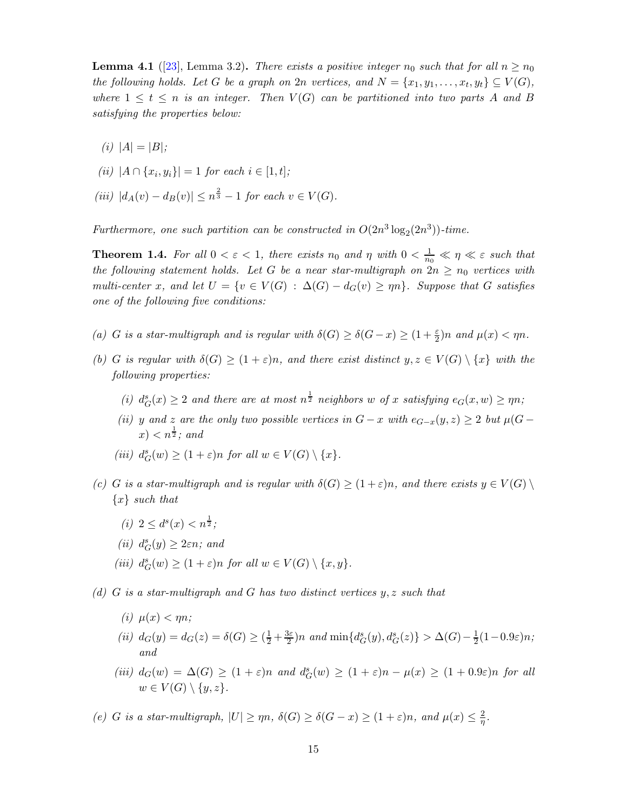<span id="page-14-5"></span>**Lemma 4.1** ([\[23\]](#page-30-3), Lemma 3.2). *There exists a positive integer*  $n_0$  *such that for all*  $n \ge n_0$ *the following holds. Let* G *be a graph on*  $2n$  *vertices, and*  $N = \{x_1, y_1, \ldots, x_t, y_t\} \subseteq V(G)$ *, where*  $1 \leq t \leq n$  *is an integer. Then*  $V(G)$  *can be partitioned into two parts* A *and* B *satisfying the properties below:*

*(i)*  $|A| = |B|$ ;

(*ii*) 
$$
|A \cap \{x_i, y_i\}| = 1
$$
 for each  $i \in [1, t]$ ;

 $(iii)$   $|d_A(v) - d_B(v)| \leq n^{\frac{2}{3}} - 1$  *for each*  $v \in V(G)$ *.* 

Furthermore, one such partition can be constructed in  $O(2n^3 \log_2(2n^3))$ -time.

**Theorem 1.4.** For all  $0 < \varepsilon < 1$ , there exists  $n_0$  and  $\eta$  with  $0 < \frac{1}{n_0} \ll \eta \ll \varepsilon$  such that *the following statement holds. Let* G *be a near star-multigraph on*  $2n \ge n_0$  *vertices with multi-center* x, and let  $U = \{v \in V(G) : \Delta(G) - d_G(v) \ge \eta n\}$ . Suppose that G satisfies *one of the following five conditions:*

- <span id="page-14-0"></span>(a) *G* is a star-multigraph and is regular with  $\delta(G) \geq \delta(G - x) \geq (1 + \frac{\varepsilon}{2})n$  and  $\mu(x) < \eta n$ .
- *(b) G is regular with*  $\delta(G) \geq (1+\varepsilon)n$ *, and there exist distinct*  $y, z \in V(G) \setminus \{x\}$  *with the following properties:*
	- (*i*)  $d_G^s(x) \geq 2$  *and there are at most*  $n^{\frac{1}{2}}$  *neighbors* w *of* x *satisfying*  $e_G(x, w) \geq \eta n$ ;
	- *(ii)* y and z are the only two possible vertices in  $G x$  with  $e_{G-x}(y, z) \geq 2$  but  $\mu(G z)$  $(x) < n^{\frac{1}{2}}$ ; and
	- (*iii*)  $d_G^s(w) \ge (1 + \varepsilon)n$  *for all*  $w \in V(G) \setminus \{x\}.$
- <span id="page-14-3"></span>*(c) G is a star-multigraph and is regular with*  $\delta(G) \geq (1+\varepsilon)n$ *, and there exists*  $y \in V(G) \setminus$ {x} *such that*
	- *(i)*  $2 \leq d^s(x) < n^{\frac{1}{2}}$ ;
	- $(ii) d_G^s(y) \geq 2\varepsilon n$ *;* and
	- (*iii*)  $d_G^s(w) \ge (1 + \varepsilon)n$  *for all*  $w \in V(G) \setminus \{x, y\}.$
- <span id="page-14-4"></span><span id="page-14-1"></span>*(d)* G *is a star-multigraph and* G *has two distinct vertices* y, z *such that*
	- $(i)$   $\mu(x) < mn$ ;
	- *(ii)*  $d_G(y) = d_G(z) = \delta(G) \geq (\frac{1}{2} + \frac{3\varepsilon}{2})$  $\frac{3\varepsilon}{2}$ )n and  $\min\{d_G^s(y), d_G^s(z)\} > \Delta(G) - \frac{1}{2}$  $rac{1}{2}(1-0.9\varepsilon)n;$ *and*
	- (*iii*)  $d_G(w) = \Delta(G) \geq (1+\varepsilon)n$  and  $d_G^s(w) \geq (1+\varepsilon)n \mu(x) \geq (1+0.9\varepsilon)n$  for all  $w \in V(G) \setminus \{y, z\}.$

<span id="page-14-2"></span>*(e) G is a star-multigraph,*  $|U| \ge \eta n$ ,  $\delta(G) \ge \delta(G - x) \ge (1 + \varepsilon)n$ , and  $\mu(x) \le \frac{2}{n}$  $\frac{2}{\eta}.$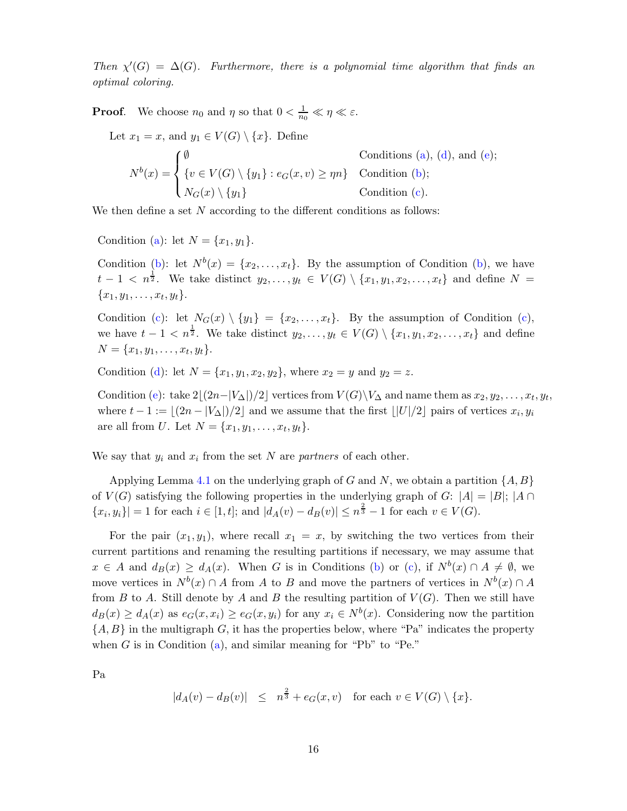*Then*  $\chi'(G) = \Delta(G)$ *. Furthermore, there is a polynomial time algorithm that finds an optimal coloring.*

**Proof.** We choose  $n_0$  and  $\eta$  so that  $0 < \frac{1}{n_0} \ll \eta \ll \varepsilon$ .

Let  $x_1 = x$ , and  $y_1 \in V(G) \setminus \{x\}$ . Define  $N^b(x) =$  $\sqrt{ }$  $\int$  $\overline{\mathcal{L}}$  $\emptyset$  Conditions [\(a\)](#page-14-0), [\(d\)](#page-14-1), and [\(e\)](#page-14-2);  $\{v \in V(G) \setminus \{y_1\} : e_G(x, v) \ge \eta n\}$  Condition [\(b\)](#page-14-3);  $N_G(x) \setminus \{y_1\}$  Condition [\(c\)](#page-14-4).

We then define a set  $N$  according to the different conditions as follows:

Condition [\(a\)](#page-14-0): let  $N = \{x_1, y_1\}.$ 

Condition [\(b\)](#page-14-3): let  $N^b(x) = \{x_2, \ldots, x_t\}$ . By the assumption of Condition (b), we have  $t-1$  <  $n^{\frac{1}{2}}$ . We take distinct  $y_2, \ldots, y_t \in V(G) \setminus \{x_1, y_1, x_2, \ldots, x_t\}$  and define  $N =$  ${x_1, y_1, \ldots, x_t, y_t}.$ 

Condition [\(c\)](#page-14-4): let  $N_G(x) \setminus \{y_1\} = \{x_2, \ldots, x_t\}$ . By the assumption of Condition (c), we have  $t - 1 < n^{\frac{1}{2}}$ . We take distinct  $y_2, \ldots, y_t \in V(G) \setminus \{x_1, y_1, x_2, \ldots, x_t\}$  and define  $N = \{x_1, y_1, \ldots, x_t, y_t\}.$ 

Condition [\(d\)](#page-14-1): let  $N = \{x_1, y_1, x_2, y_2\}$ , where  $x_2 = y$  and  $y_2 = z$ .

Condition [\(e\)](#page-14-2): take  $2\lfloor (2n-|V_\Delta|)/2 \rfloor$  vertices from  $V(G)\backslash V_\Delta$  and name them as  $x_2, y_2, \ldots, x_t, y_t$ , where  $t - 1 := \lfloor (2n - |V_\Delta|)/2 \rfloor$  and we assume that the first  $\lfloor |U|/2 \rfloor$  pairs of vertices  $x_i, y_i$ are all from U. Let  $N = \{x_1, y_1, \dots, x_t, y_t\}.$ 

We say that  $y_i$  and  $x_i$  from the set N are *partners* of each other.

Applying Lemma [4.1](#page-14-5) on the underlying graph of G and N, we obtain a partition  $\{A, B\}$ of  $V(G)$  satisfying the following properties in the underlying graph of G:  $|A| = |B|$ ;  $|A \cap B|$  $\{x_i, y_i\}$  = 1 for each  $i \in [1, t]$ ; and  $|d_A(v) - d_B(v)| \leq n^{\frac{2}{3}} - 1$  for each  $v \in V(G)$ .

For the pair  $(x_1, y_1)$ , where recall  $x_1 = x$ , by switching the two vertices from their current partitions and renaming the resulting partitions if necessary, we may assume that  $x \in A$  and  $d_B(x) \geq d_A(x)$ . When G is in Conditions [\(b\)](#page-14-3) or [\(c\)](#page-14-4), if  $N<sup>b</sup>(x) \cap A \neq \emptyset$ , we move vertices in  $N^{b}(x) \cap A$  from A to B and move the partners of vertices in  $N^{b}(x) \cap A$ from B to A. Still denote by A and B the resulting partition of  $V(G)$ . Then we still have  $d_B(x) \ge d_A(x)$  as  $e_G(x, x_i) \ge e_G(x, y_i)$  for any  $x_i \in N^b(x)$ . Considering now the partition  $\{A, B\}$  in the multigraph G, it has the properties below, where "Pa" indicates the property when  $G$  is in Condition [\(a\)](#page-14-0), and similar meaning for "Pb" to "Pe."

Pa

$$
|d_A(v) - d_B(v)| \leq n^{\frac{2}{3}} + e_G(x,v) \text{ for each } v \in V(G) \setminus \{x\}.
$$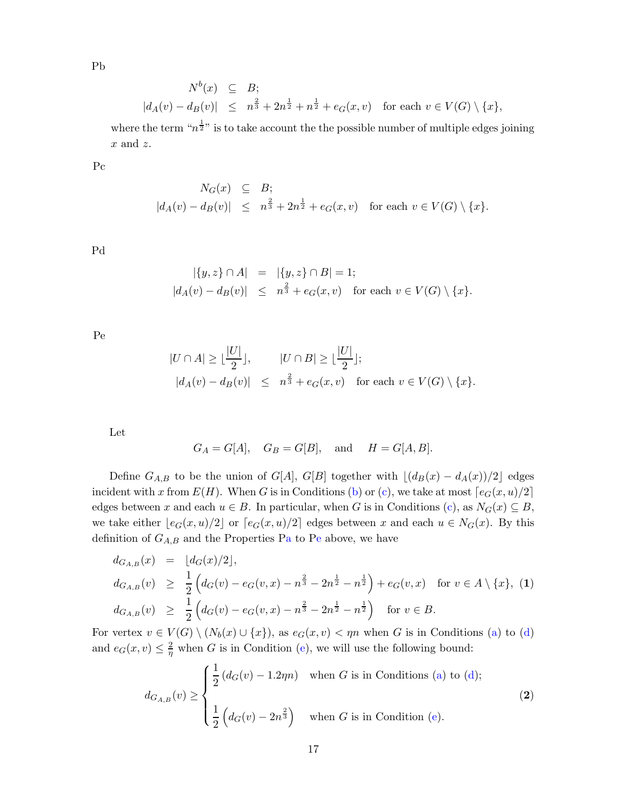Pb

$$
N^{b}(x) \subseteq B;
$$
  

$$
|d_{A}(v) - d_{B}(v)| \leq n^{\frac{2}{3}} + 2n^{\frac{1}{2}} + n^{\frac{1}{2}} + e_{G}(x, v) \text{ for each } v \in V(G) \setminus \{x\},
$$

where the term " $n^{\frac{1}{2}n}$  is to take account the the possible number of multiple edges joining  $x$  and  $z$ .

Pc

$$
N_G(x) \subseteq B;
$$
  

$$
|d_A(v) - d_B(v)| \le n^{\frac{2}{3}} + 2n^{\frac{1}{2}} + e_G(x, v) \text{ for each } v \in V(G) \setminus \{x\}.
$$

Pd

$$
|\{y, z\} \cap A| = |\{y, z\} \cap B| = 1; |d_A(v) - d_B(v)| \leq n^{\frac{2}{3}} + e_G(x, v) \text{ for each } v \in V(G) \setminus \{x\}.
$$

Pe

$$
|U \cap A| \ge \lfloor \frac{|U|}{2} \rfloor, \qquad |U \cap B| \ge \lfloor \frac{|U|}{2} \rfloor;
$$
  

$$
|d_A(v) - d_B(v)| \le n^{\frac{2}{3}} + e_G(x, v) \quad \text{for each } v \in V(G) \setminus \{x\}.
$$

Let

$$
G_A = G[A],
$$
  $G_B = G[B],$  and  $H = G[A, B].$ 

Define  $G_{A,B}$  to be the union of  $G[A], G[B]$  together with  $\lfloor (d_B(x) - d_A(x))/2 \rfloor$  edges incident with x from  $E(H)$ . When G is in Conditions [\(b\)](#page-14-3) or [\(c\)](#page-14-4), we take at most  $\lceil e_G(x, u)/2 \rceil$ edges between x and each  $u \in B$ . In particular, when G is in Conditions [\(c\)](#page-14-4), as  $N_G(x) \subseteq B$ , we take either  $\lfloor e_G(x, u)/2 \rfloor$  or  $\lceil e_G(x, u)/2 \rceil$  edges between x and each  $u \in N_G(x)$ . By this definition of  $G_{A,B}$  and the Properties [Pa](#page-16-0) to [Pe](#page-16-0) above, we have

<span id="page-16-0"></span>
$$
d_{G_{A,B}}(x) = \lfloor d_G(x)/2 \rfloor,
$$
  
\n
$$
d_{G_{A,B}}(v) \ge \frac{1}{2} \left( d_G(v) - e_G(v, x) - n^{\frac{2}{3}} - 2n^{\frac{1}{2}} - n^{\frac{1}{2}} \right) + e_G(v, x) \text{ for } v \in A \setminus \{x\}, (1)
$$
  
\n
$$
d_{G_{A,B}}(v) \ge \frac{1}{2} \left( d_G(v) - e_G(v, x) - n^{\frac{2}{3}} - 2n^{\frac{1}{2}} - n^{\frac{1}{2}} \right) \text{ for } v \in B.
$$

For vertex  $v \in V(G) \setminus (N_b(x) \cup \{x\})$ , as  $e_G(x, v) < \eta n$  when G is in Conditions [\(a\)](#page-14-0) to [\(d\)](#page-14-1) and  $e_G(x, v) \leq \frac{2}{n}$  $\frac{2}{\eta}$  when G is in Condition [\(e\)](#page-14-2), we will use the following bound:

$$
d_{G_{A,B}}(v) \ge \begin{cases} \frac{1}{2} (d_G(v) - 1.2\eta n) & \text{when } G \text{ is in Conditions (a) to (d);} \\ \frac{1}{2} \left( d_G(v) - 2n^{\frac{2}{3}} \right) & \text{when } G \text{ is in Condition (e).} \end{cases}
$$
(2)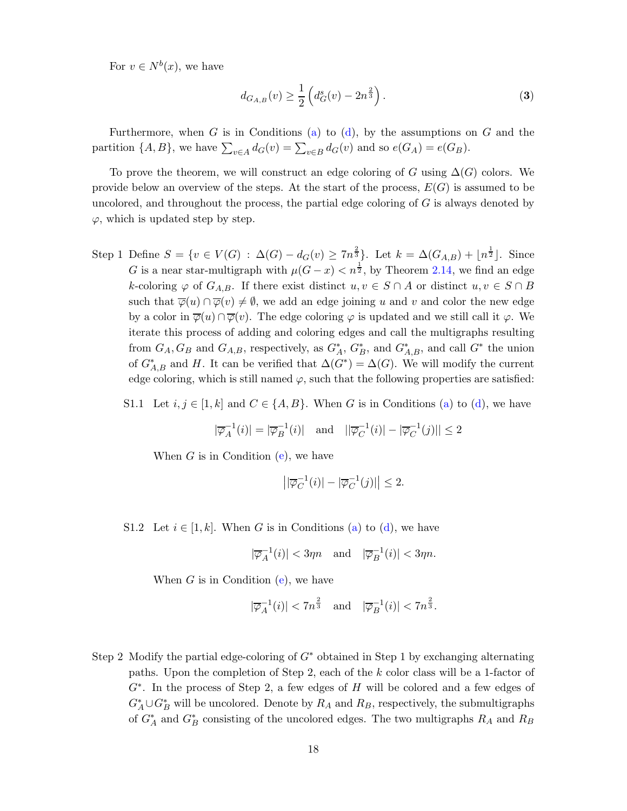For  $v \in N^b(x)$ , we have

<span id="page-17-0"></span>
$$
d_{G_{A,B}}(v) \ge \frac{1}{2} \left( d_G^s(v) - 2n^{\frac{2}{3}} \right). \tag{3}
$$

Furthermore, when G is in Conditions [\(a\)](#page-14-0) to [\(d\)](#page-14-1), by the assumptions on G and the partition  $\{A, B\}$ , we have  $\sum_{v \in A} d_G(v) = \sum_{v \in B} d_G(v)$  and so  $e(G_A) = e(G_B)$ .

To prove the theorem, we will construct an edge coloring of G using  $\Delta(G)$  colors. We provide below an overview of the steps. At the start of the process,  $E(G)$  is assumed to be uncolored, and throughout the process, the partial edge coloring of  $G$  is always denoted by  $\varphi$ , which is updated step by step.

<span id="page-17-1"></span>Step 1 Define  $S = \{v \in V(G) : \Delta(G) - d_G(v) \ge 7n^{\frac{2}{3}}\}\$ . Let  $k = \Delta(G_{A,B}) + \lfloor n^{\frac{1}{2}} \rfloor$ . Since G is a near star-multigraph with  $\mu(G-x) < n^{\frac{1}{2}}$ , by Theorem [2.14,](#page-6-1) we find an edge k-coloring  $\varphi$  of  $G_{A,B}$ . If there exist distinct  $u, v \in S \cap A$  or distinct  $u, v \in S \cap B$ such that  $\overline{\varphi}(u) \cap \overline{\varphi}(v) \neq \emptyset$ , we add an edge joining u and v and color the new edge by a color in  $\overline{\varphi}(u) \cap \overline{\varphi}(v)$ . The edge coloring  $\varphi$  is updated and we still call it  $\varphi$ . We iterate this process of adding and coloring edges and call the multigraphs resulting from  $G_A, G_B$  and  $G_{A,B}$ , respectively, as  $G_A^*, G_B^*$ , and  $G_{A,B}^*$ , and call  $G^*$  the union of  $G_{A,B}^*$  and H. It can be verified that  $\Delta(G^*) = \Delta(G)$ . We will modify the current edge coloring, which is still named  $\varphi$ , such that the following properties are satisfied:

S1.1 Let  $i, j \in [1, k]$  and  $C \in \{A, B\}$ . When G is in Conditions [\(a\)](#page-14-0) to [\(d\)](#page-14-1), we have

$$
|\overline{\varphi}_A^{-1}(i)| = |\overline{\varphi}_B^{-1}(i)| \quad \text{and} \quad ||\overline{\varphi}_C^{-1}(i)| - |\overline{\varphi}_C^{-1}(j)| \le 2
$$

When  $G$  is in Condition [\(e\)](#page-14-2), we have

$$
\left| \left| \overline{\varphi}_C^{-1}(i) \right| - \left| \overline{\varphi}_C^{-1}(j) \right| \right| \le 2.
$$

S1.2 Let  $i \in [1, k]$ . When G is in Conditions [\(a\)](#page-14-0) to [\(d\)](#page-14-1), we have

$$
|\overline{\varphi}_A^{-1}(i)| < 3\eta n \quad \text{and} \quad |\overline{\varphi}_B^{-1}(i)| < 3\eta n.
$$

When  $G$  is in Condition [\(e\)](#page-14-2), we have

$$
|\overline{\varphi}_A^{-1}(i)| < 7n^{\frac{2}{3}} \quad \text{and} \quad |\overline{\varphi}_B^{-1}(i)| < 7n^{\frac{2}{3}}.
$$

Step 2 Modify the partial edge-coloring of  $G^*$  obtained in Step 1 by exchanging alternating paths. Upon the completion of Step 2, each of the k color class will be a 1-factor of  $G^*$ . In the process of Step 2, a few edges of  $H$  will be colored and a few edges of  $G_A^* \cup G_B^*$  will be uncolored. Denote by  $R_A$  and  $R_B$ , respectively, the submultigraphs of  $G_A^*$  and  $G_B^*$  consisting of the uncolored edges. The two multigraphs  $R_A$  and  $R_B$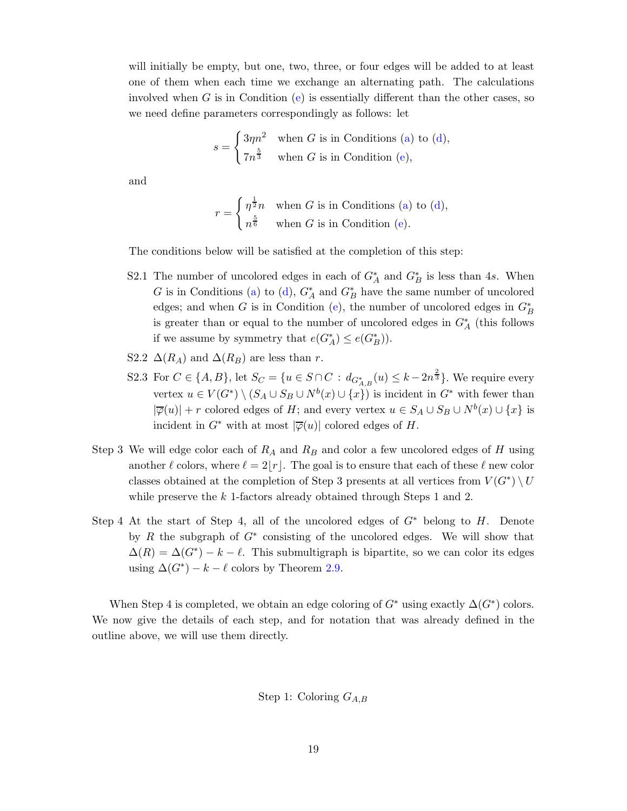will initially be empty, but one, two, three, or four edges will be added to at least one of them when each time we exchange an alternating path. The calculations involved when G is in Condition  $(e)$  is essentially different than the other cases, so we need define parameters correspondingly as follows: let

$$
s = \begin{cases} 3\eta n^2 & \text{when } G \text{ is in Conditions (a) to (d),} \\ 7n^{\frac{5}{3}} & \text{when } G \text{ is in Condition (e),} \end{cases}
$$

and

$$
r = \begin{cases} \eta^{\frac{1}{2}}n & \text{when } G \text{ is in Conditions (a) to (d),} \\ n^{\frac{5}{6}} & \text{when } G \text{ is in Condition (e).} \end{cases}
$$

The conditions below will be satisfied at the completion of this step:

- S2.1 The number of uncolored edges in each of  $G_A^*$  and  $G_B^*$  is less than 4s. When G is in Conditions [\(a\)](#page-14-0) to [\(d\)](#page-14-1),  $G_A^*$  and  $G_B^*$  have the same number of uncolored edges; and when G is in Condition [\(e\)](#page-14-2), the number of uncolored edges in  $G_B^*$ is greater than or equal to the number of uncolored edges in  $G_A^*$  (this follows if we assume by symmetry that  $e(G_A^*) \leq e(G_B^*)$ ).
- S2.2  $\Delta(R_A)$  and  $\Delta(R_B)$  are less than r.
- S2.3 For  $C \in \{A, B\}$ , let  $S_C = \{u \in S \cap C : d_{G_{A,B}^*}(u) \leq k 2n^{\frac{2}{3}}\}$ . We require every vertex  $u \in V(G^*) \setminus (S_A \cup S_B \cup N^b(x) \cup \{x\})$  is incident in  $G^*$  with fewer than  $|\overline{\varphi}(u)| + r$  colored edges of H; and every vertex  $u \in S_A \cup S_B \cup N^b(x) \cup \{x\}$  is incident in  $G^*$  with at most  $|\overline{\varphi}(u)|$  colored edges of H.
- Step 3 We will edge color each of  $R_A$  and  $R_B$  and color a few uncolored edges of H using another  $\ell$  colors, where  $\ell = 2|r|$ . The goal is to ensure that each of these  $\ell$  new color classes obtained at the completion of Step 3 presents at all vertices from  $V(G^*) \setminus U$ while preserve the  $k$  1-factors already obtained through Steps 1 and 2.
- Step 4 At the start of Step 4, all of the uncolored edges of  $G^*$  belong to H. Denote by  $R$  the subgraph of  $G^*$  consisting of the uncolored edges. We will show that  $\Delta(R) = \Delta(G^*) - k - \ell$ . This submultigraph is bipartite, so we can color its edges using  $\Delta(G^*) - k - \ell$  colors by Theorem [2.9.](#page-5-1)

When Step 4 is completed, we obtain an edge coloring of  $G^*$  using exactly  $\Delta(G^*)$  colors. We now give the details of each step, and for notation that was already defined in the outline above, we will use them directly.

Step 1: Coloring  $G_{A,B}$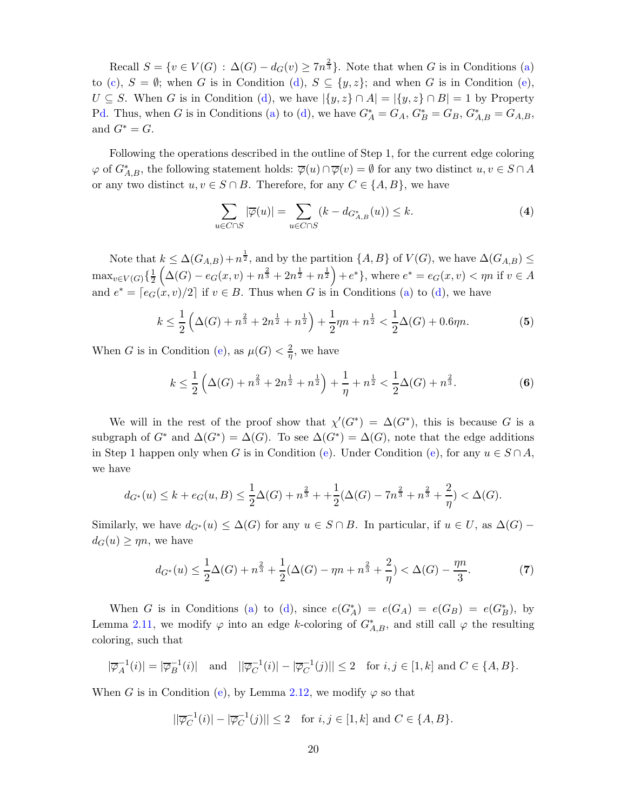Recall  $S = \{v \in V(G) : \Delta(G) - d_G(v) \geq 7n^{\frac{2}{3}}\}\.$  Note that when G is in Conditions [\(a\)](#page-14-0) to [\(c\)](#page-14-4),  $S = \emptyset$ ; when G is in Condition [\(d\)](#page-14-1),  $S \subseteq \{y, z\}$ ; and when G is in Condition [\(e\)](#page-14-2),  $U \subseteq S$ . When G is in Condition [\(d\)](#page-14-1), we have  $|\{y, z\} \cap A| = |\{y, z\} \cap B| = 1$  by Property [Pd.](#page-16-0) Thus, when G is in Conditions [\(a\)](#page-14-0) to [\(d\)](#page-14-1), we have  $G_A^* = G_A$ ,  $G_B^* = G_B$ ,  $G_{A,B}^* = G_{A,B}$ , and  $G^* = G$ .

Following the operations described in the outline of Step 1, for the current edge coloring  $\varphi$  of  $G_{A,B}^*$ , the following statement holds:  $\overline{\varphi}(u) \cap \overline{\varphi}(v) = \emptyset$  for any two distinct  $u, v \in S \cap A$ or any two distinct  $u, v \in S \cap B$ . Therefore, for any  $C \in \{A, B\}$ , we have

<span id="page-19-0"></span>
$$
\sum_{u \in C \cap S} |\overline{\varphi}(u)| = \sum_{u \in C \cap S} (k - d_{G_{A,B}^*}(u)) \le k. \tag{4}
$$

Note that  $k \leq \Delta(G_{A,B}) + n^{\frac{1}{2}}$ , and by the partition  $\{A, B\}$  of  $V(G)$ , we have  $\Delta(G_{A,B}) \leq$  $\max_{v \in V(G)} \left\{ \frac{1}{2} \right\}$  $\frac{1}{2} \left( \Delta(G) - e_G(x, v) + n^{\frac{2}{3}} + 2n^{\frac{1}{2}} + n^{\frac{1}{2}} \right) + e^* \},$  where  $e^* = e_G(x, v) < \eta n$  if  $v \in A$ and  $e^* = [e_G(x, v)/2]$  if  $v \in B$ . Thus when G is in Conditions [\(a\)](#page-14-0) to [\(d\)](#page-14-1), we have

<span id="page-19-1"></span>
$$
k \le \frac{1}{2} \left( \Delta(G) + n^{\frac{2}{3}} + 2n^{\frac{1}{2}} + n^{\frac{1}{2}} \right) + \frac{1}{2}\eta n + n^{\frac{1}{2}} < \frac{1}{2}\Delta(G) + 0.6\eta n.
$$
 (5)

When G is in Condition [\(e\)](#page-14-2), as  $\mu(G) < \frac{2}{\eta}$ , we have

<span id="page-19-2"></span>
$$
k \le \frac{1}{2} \left( \Delta(G) + n^{\frac{2}{3}} + 2n^{\frac{1}{2}} + n^{\frac{1}{2}} \right) + \frac{1}{\eta} + n^{\frac{1}{2}} < \frac{1}{2} \Delta(G) + n^{\frac{2}{3}}.
$$
 (6)

We will in the rest of the proof show that  $\chi'(G^*) = \Delta(G^*)$ , this is because G is a subgraph of  $G^*$  and  $\Delta(G^*) = \Delta(G)$ . To see  $\Delta(G^*) = \Delta(G)$ , note that the edge additions in Step 1 happen only when G is in Condition [\(e\)](#page-14-2). Under Condition (e), for any  $u \in S \cap A$ , we have

$$
d_{G^*}(u) \le k + e_G(u, B) \le \frac{1}{2}\Delta(G) + n^{\frac{2}{3}} + \frac{1}{2}(\Delta(G) - 7n^{\frac{2}{3}} + n^{\frac{2}{3}} + \frac{2}{\eta}) < \Delta(G).
$$

Similarly, we have  $d_{G^*}(u) \leq \Delta(G)$  for any  $u \in S \cap B$ . In particular, if  $u \in U$ , as  $\Delta(G)$  –  $d_G(u) \geq \eta n$ , we have

<span id="page-19-3"></span>
$$
d_{G^*}(u) \le \frac{1}{2}\Delta(G) + n^{\frac{2}{3}} + \frac{1}{2}(\Delta(G) - \eta n + n^{\frac{2}{3}} + \frac{2}{\eta}) < \Delta(G) - \frac{\eta n}{3}.\tag{7}
$$

When G is in Conditions [\(a\)](#page-14-0) to [\(d\)](#page-14-1), since  $e(G_A^*) = e(G_A) = e(G_B) = e(G_B^*)$ , by Lemma [2.11,](#page-5-2) we modify  $\varphi$  into an edge k-coloring of  $G_{A,B}^*$ , and still call  $\varphi$  the resulting coloring, such that

$$
|\overline{\varphi}_A^{-1}(i)| = |\overline{\varphi}_B^{-1}(i)| \quad \text{and} \quad ||\overline{\varphi}_C^{-1}(i)| - |\overline{\varphi}_C^{-1}(j)| \le 2 \quad \text{for } i, j \in [1, k] \text{ and } C \in \{A, B\}.
$$

When G is in Condition [\(e\)](#page-14-2), by Lemma [2.12,](#page-6-2) we modify  $\varphi$  so that

$$
||\overline{\varphi}_C^{-1}(i)| - |\overline{\varphi}_C^{-1}(j)|| \le 2 \quad \text{for } i, j \in [1, k] \text{ and } C \in \{A, B\}.
$$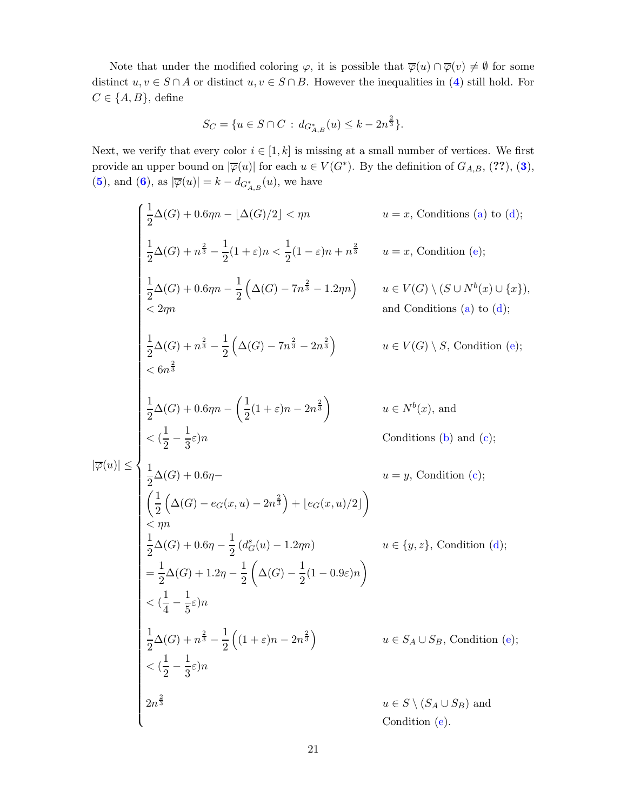Note that under the modified coloring  $\varphi$ , it is possible that  $\overline{\varphi}(u) \cap \overline{\varphi}(v) \neq \emptyset$  for some distinct  $u, v \in S \cap A$  or distinct  $u, v \in S \cap B$ . However the inequalities in ([4](#page-19-0)) still hold. For  $C \in \{A, B\}$ , define

$$
S_C = \{ u \in S \cap C : d_{G_{A,B}^*}(u) \le k - 2n^{\frac{2}{3}} \}.
$$

Next, we verify that every color  $i \in [1, k]$  is missing at a small number of vertices. We first provide an upper bound on  $|\overline{\varphi}(u)|$  for each  $u \in V(G^*)$ . By the definition of  $G_{A,B},$  (??), ([3](#page-17-0)), ([5](#page-19-1)), and ([6](#page-19-2)), as  $|\overline{\varphi}(u)| = k - d_{G^*_{A,B}}(u)$ , we have

$$
\begin{cases}\n\frac{1}{2}\Delta(G) + 0.6\eta n - \lfloor \Delta(G)/2 \rfloor < \eta n & u = x, \text{ Conditions (a) to (d)}; \\
\frac{1}{2}\Delta(G) + n^{\frac{2}{3}} - \frac{1}{2}(1+\varepsilon)n < \frac{1}{2}(1-\varepsilon)n + n^{\frac{2}{3}} & u = x, \text{ Condition (e)}; \\
\frac{1}{2}\Delta(G) + 0.6\eta n - \frac{1}{2}\left(\Delta(G) - 7n^{\frac{2}{3}} - 1.2\eta n\right) & u \in V(G) \setminus (S \cup N^{b}(x) \cup \{x\}), \\
\frac{1}{2}\Delta(G) + n^{\frac{2}{3}} - \frac{1}{2}\left(\Delta(G) - 7n^{\frac{2}{3}} - 2n^{\frac{2}{3}}\right) & u \in V(G) \setminus S, \text{ Condition (e)}; \\
\frac{1}{2}\Delta(G) + 0.6\eta n - \left(\frac{1}{2}(1+\varepsilon)n - 2n^{\frac{2}{3}}\right) & u \in N^{b}(x), \text{ and} \\
\langle \frac{1}{2} - \frac{1}{2}\varepsilon \right)n & \text{Conditions (b) and (c)}; \\
\left|\frac{1}{2}\Delta(G) + 0.6\eta - \frac{1}{2}\left(d_{G}^{2}(u) - 2n^{\frac{2}{3}}\right) + \left|\frac{e_{G}(x, u)/2\right|}{u} = y, \text{ Condition (c)}; \\
\frac{1}{2}\Delta(G) + 0.6\eta - \frac{1}{2}\left(d_{G}^{2}(u) - 1.2\eta n\right) & u \in \{y, z\}, \text{Condition (d)}; \\
= \frac{1}{2}\Delta(G) + 1.2\eta - \frac{1}{2}\left(\Delta(G) - \frac{1}{2}(1 - 0.9\varepsilon)n\right) & \left(\frac{1}{4} - \frac{1}{5}\varepsilon\right)n & \frac{1}{2}\Delta(G) + n^{\frac{2}{3}} - \frac{1}{2}\left(1 + \varepsilon\right)n - 2n^{\frac{2}{3}}\right) & u \in S_{A} \cup S_{B}, \text{ Condition (e)}; \\
\langle \frac{1}{2} - \frac{1}{3}\varepsilon\right)n & \text{Solution (a) to (i
$$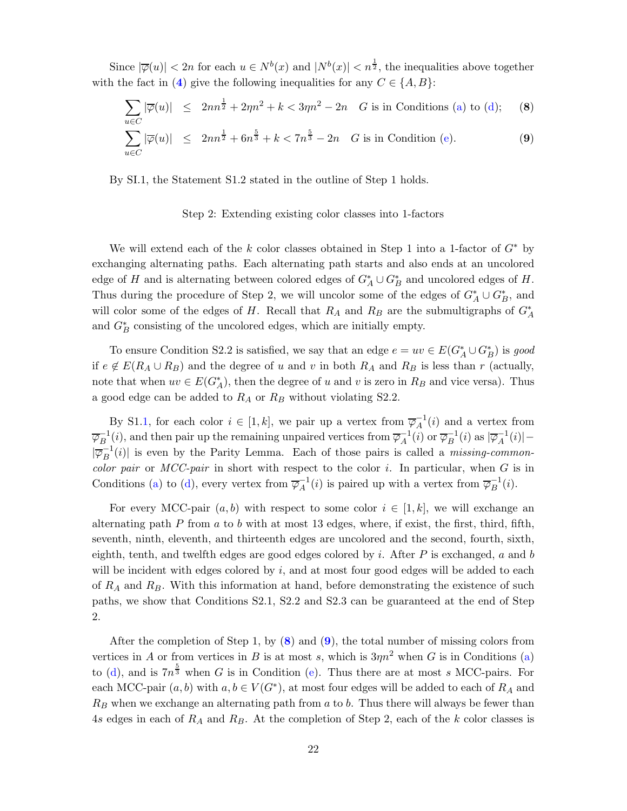Since  $|\overline{\varphi}(u)| < 2n$  for each  $u \in N^b(x)$  and  $|N^b(x)| < n^{\frac{1}{2}}$ , the inequalities above together with the fact in ([4](#page-19-0)) give the following inequalities for any  $C \in \{A, B\}$ :

<span id="page-21-0"></span>
$$
\sum_{u \in C} |\overline{\varphi}(u)| \le 2nn^{\frac{1}{2}} + 2\eta n^2 + k < 3\eta n^2 - 2n \quad G \text{ is in Conditions (a) to (d);} \tag{8}
$$
\n
$$
\sum_{u \in C} |\overline{\varphi}(u)| \le 2nn^{\frac{1}{2}} + 6n^{\frac{5}{3}} + k < 7n^{\frac{5}{3}} - 2n \quad G \text{ is in Condition (e).} \tag{9}
$$

By SI.1, the Statement S1.2 stated in the outline of Step 1 holds.

### Step 2: Extending existing color classes into 1-factors

We will extend each of the k color classes obtained in Step 1 into a 1-factor of  $G^*$  by exchanging alternating paths. Each alternating path starts and also ends at an uncolored edge of H and is alternating between colored edges of  $G_A^* \cup G_B^*$  and uncolored edges of H. Thus during the procedure of Step 2, we will uncolor some of the edges of  $G_A^* \cup G_B^*$ , and will color some of the edges of H. Recall that  $R_A$  and  $R_B$  are the submultigraphs of  $G_A^*$ and  $G_B^*$  consisting of the uncolored edges, which are initially empty.

To ensure Condition S2.2 is satisfied, we say that an edge  $e = uv \in E(G_A^* \cup G_B^*)$  is good if  $e \notin E(R_A \cup R_B)$  and the degree of u and v in both  $R_A$  and  $R_B$  is less than r (actually, note that when  $uv \in E(G_A^*)$ , then the degree of u and v is zero in  $R_B$  and vice versa). Thus a good edge can be added to  $R_A$  or  $R_B$  without violating S2.2.

By S1[.1,](#page-17-1) for each color  $i \in [1, k]$ , we pair up a vertex from  $\overline{\varphi}_A^{-1}(i)$  and a vertex from  $\overline{\varphi}_{B}^{-1}$  $\overline{B}^{-1}(i)$ , and then pair up the remaining unpaired vertices from  $\overline{\varphi}_A^{-1}$  $_A^{-1}(i)$  or  $\overline{\varphi}_B^{-1}$  $\overline{B}^{-1}(i)$  as  $|\overline{\varphi}_A^{-1}|$  $^{-1}_{A}(i)| |\overline{\varphi}_B^{-1}$  $\mathbb{E}_{B}^{-1}(i)$  is even by the Parity Lemma. Each of those pairs is called a *missing-commoncolor pair* or *MCC-pair* in short with respect to the color i. In particular, when G is in Conditions [\(a\)](#page-14-0) to [\(d\)](#page-14-1), every vertex from  $\overline{\varphi}_A^{-1}$  $\overline{A}^{-1}(i)$  is paired up with a vertex from  $\overline{\varphi}_B^{-1}$  $B^{-1}(i)$ .

For every MCC-pair  $(a, b)$  with respect to some color  $i \in [1, k]$ , we will exchange an alternating path  $P$  from  $a$  to  $b$  with at most 13 edges, where, if exist, the first, third, fifth, seventh, ninth, eleventh, and thirteenth edges are uncolored and the second, fourth, sixth, eighth, tenth, and twelfth edges are good edges colored by i. After  $P$  is exchanged, a and b will be incident with edges colored by  $i$ , and at most four good edges will be added to each of  $R_A$  and  $R_B$ . With this information at hand, before demonstrating the existence of such paths, we show that Conditions S2.1, S2.2 and S2.3 can be guaranteed at the end of Step 2.

After the completion of Step 1, by  $(8)$  $(8)$  $(8)$  and  $(9)$  $(9)$  $(9)$ , the total number of missing colors from vertices in A or from vertices in B is at most s, which is  $3\eta n^2$  when G is in Conditions [\(a\)](#page-14-0) to [\(d\)](#page-14-1), and is  $7n^{\frac{5}{3}}$  when G is in Condition [\(e\)](#page-14-2). Thus there are at most s MCC-pairs. For each MCC-pair  $(a, b)$  with  $a, b \in V(G^*)$ , at most four edges will be added to each of  $R_A$  and  $R_B$  when we exchange an alternating path from  $a$  to  $b$ . Thus there will always be fewer than 4s edges in each of  $R_A$  and  $R_B$ . At the completion of Step 2, each of the k color classes is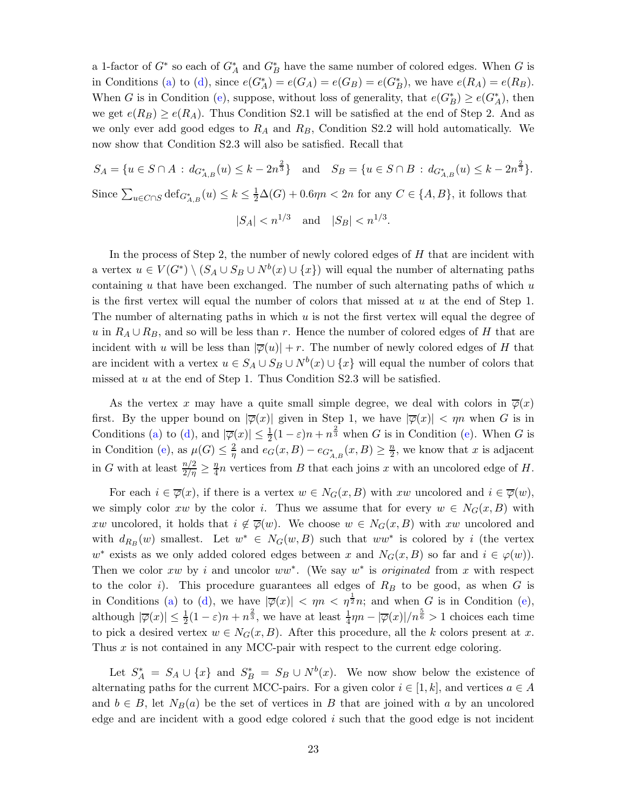a 1-factor of  $G^*$  so each of  $G_A^*$  and  $G_B^*$  have the same number of colored edges. When G is in Conditions [\(a\)](#page-14-0) to [\(d\)](#page-14-1), since  $e(G_A^*) = e(G_A) = e(G_B) = e(G_B^*)$ , we have  $e(R_A) = e(R_B)$ . When G is in Condition [\(e\)](#page-14-2), suppose, without loss of generality, that  $e(G^*_B) \ge e(G^*_A)$ , then we get  $e(R_B) \ge e(R_A)$ . Thus Condition S2.1 will be satisfied at the end of Step 2. And as we only ever add good edges to  $R_A$  and  $R_B$ , Condition S2.2 will hold automatically. We now show that Condition S2.3 will also be satisfied. Recall that

 $S_A = \{u \in S \cap A : d_{G^*_{A,B}}(u) \leq k - 2n^{\frac{2}{3}}\}$  and  $S_B = \{u \in S \cap B : d_{G^*_{A,B}}(u) \leq k - 2n^{\frac{2}{3}}\}.$ Since  $\sum_{u \in C \cap S} \text{def}_{G^*_{A,B}}(u) \leq k \leq \frac{1}{2}\Delta(G) + 0.6\eta n < 2n$  for any  $C \in \{A, B\}$ , it follows that

$$
|S_A| < n^{1/3}
$$
 and  $|S_B| < n^{1/3}$ .

In the process of Step 2, the number of newly colored edges of  $H$  that are incident with a vertex  $u \in V(G^*) \setminus (S_A \cup S_B \cup N^b(x) \cup \{x\})$  will equal the number of alternating paths containing  $u$  that have been exchanged. The number of such alternating paths of which  $u$ is the first vertex will equal the number of colors that missed at  $u$  at the end of Step 1. The number of alternating paths in which  $u$  is not the first vertex will equal the degree of u in  $R_A \cup R_B$ , and so will be less than r. Hence the number of colored edges of H that are incident with u will be less than  $|\overline{\varphi}(u)| + r$ . The number of newly colored edges of H that are incident with a vertex  $u \in S_A \cup S_B \cup N^b(x) \cup \{x\}$  will equal the number of colors that missed at  $u$  at the end of Step 1. Thus Condition S2.3 will be satisfied.

As the vertex x may have a quite small simple degree, we deal with colors in  $\overline{\varphi}(x)$ first. By the upper bound on  $|\overline{\varphi}(x)|$  given in Step 1, we have  $|\overline{\varphi}(x)| < \eta n$  when G is in Conditions [\(a\)](#page-14-0) to [\(d\)](#page-14-1), and  $|\overline{\varphi}(x)| \leq \frac{1}{2}(1-\varepsilon)n + n^{\frac{2}{3}}$  when G is in Condition [\(e\)](#page-14-2). When G is in Condition [\(e\)](#page-14-2), as  $\mu(G) \leq \frac{2}{n}$  $\frac{2}{\eta}$  and  $e_G(x, B) - e_{G^*_{A,B}}(x, B) \ge \frac{n}{2}$  $\frac{n}{2}$ , we know that x is adjacent in G with at least  $\frac{n/2}{2/\eta} \geq \frac{\eta}{4}$  $\frac{\eta}{4}n$  vertices from B that each joins x with an uncolored edge of H.

For each  $i \in \overline{\varphi}(x)$ , if there is a vertex  $w \in N_G(x, B)$  with xw uncolored and  $i \in \overline{\varphi}(w)$ , we simply color xw by the color i. Thus we assume that for every  $w \in N_G(x, B)$  with xw uncolored, it holds that  $i \notin \overline{\varphi}(w)$ . We choose  $w \in N_G(x, B)$  with xw uncolored and with  $d_{R_B}(w)$  smallest. Let  $w^* \in N_G(w, B)$  such that  $ww^*$  is colored by i (the vertex  $w^*$  exists as we only added colored edges between x and  $N_G(x, B)$  so far and  $i \in \varphi(w)$ . Then we color xw by i and uncolor ww<sup>∗</sup>. (We say w<sup>∗</sup> is *originated* from x with respect to the color i). This procedure guarantees all edges of  $R_B$  to be good, as when G is in Conditions [\(a\)](#page-14-0) to [\(d\)](#page-14-1), we have  $|\overline{\varphi}(x)| < \eta n < \eta^{\frac{1}{2}}n$ ; and when G is in Condition [\(e\)](#page-14-2), although  $|\overline{\varphi}(x)| \leq \frac{1}{2}(1-\varepsilon)n + n^{\frac{2}{3}}$ , we have at least  $\frac{1}{4}\eta n - |\overline{\varphi}(x)|/n^{\frac{5}{6}} > 1$  choices each time to pick a desired vertex  $w \in N_G(x, B)$ . After this procedure, all the k colors present at x. Thus  $x$  is not contained in any MCC-pair with respect to the current edge coloring.

Let  $S_A^* = S_A \cup \{x\}$  and  $S_B^* = S_B \cup N^b(x)$ . We now show below the existence of alternating paths for the current MCC-pairs. For a given color  $i \in [1, k]$ , and vertices  $a \in A$ and  $b \in B$ , let  $N_B(a)$  be the set of vertices in B that are joined with a by an uncolored edge and are incident with a good edge colored i such that the good edge is not incident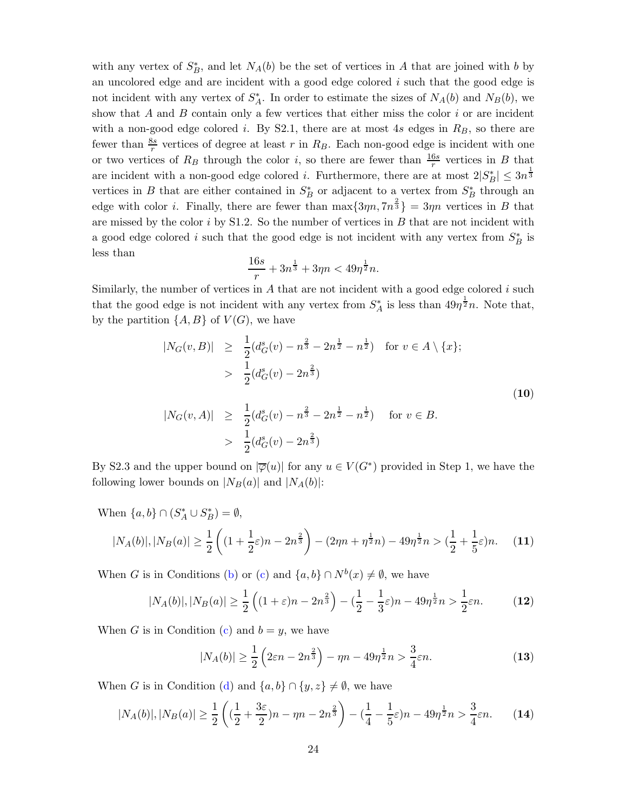with any vertex of  $S_B^*$ , and let  $N_A(b)$  be the set of vertices in A that are joined with b by an uncolored edge and are incident with a good edge colored i such that the good edge is not incident with any vertex of  $S_A^*$ . In order to estimate the sizes of  $N_A(b)$  and  $N_B(b)$ , we show that  $A$  and  $B$  contain only a few vertices that either miss the color  $i$  or are incident with a non-good edge colored i. By S2.1, there are at most  $4s$  edges in  $R_B$ , so there are fewer than  $\frac{8s}{r}$  vertices of degree at least r in  $R_B$ . Each non-good edge is incident with one or two vertices of  $R_B$  through the color *i*, so there are fewer than  $\frac{16s}{r}$  vertices in *B* that are incident with a non-good edge colored *i*. Furthermore, there are at most  $2|S_B^*| \leq 3n^{\frac{1}{3}}$ vertices in B that are either contained in  $S_B^*$  or adjacent to a vertex from  $S_B^*$  through an edge with color *i*. Finally, there are fewer than  $\max\{3\eta n, 7n^{\frac{2}{3}}\} = 3\eta n$  vertices in B that are missed by the color  $i$  by S1.2. So the number of vertices in  $B$  that are not incident with a good edge colored i such that the good edge is not incident with any vertex from  $S_B^*$  is less than

$$
\frac{16s}{r} + 3n^{\frac{1}{3}} + 3\eta n < 49\eta^{\frac{1}{2}}n.
$$

Similarly, the number of vertices in  $A$  that are not incident with a good edge colored  $i$  such that the good edge is not incident with any vertex from  $S_A^*$  is less than  $49\eta^{\frac{1}{2}}n$ . Note that, by the partition  $\{A, B\}$  of  $V(G)$ , we have

<span id="page-23-1"></span>
$$
|N_G(v, B)| \geq \frac{1}{2} (d_G^s(v) - n^{\frac{2}{3}} - 2n^{\frac{1}{2}} - n^{\frac{1}{2}}) \quad \text{for } v \in A \setminus \{x\};
$$
  
\n
$$
> \frac{1}{2} (d_G^s(v) - 2n^{\frac{2}{3}})
$$
  
\n
$$
|N_G(v, A)| \geq \frac{1}{2} (d_G^s(v) - n^{\frac{2}{3}} - 2n^{\frac{1}{2}} - n^{\frac{1}{2}}) \quad \text{for } v \in B.
$$
  
\n
$$
> \frac{1}{2} (d_G^s(v) - 2n^{\frac{2}{3}})
$$
 (10)

By S2.3 and the upper bound on  $|\overline{\varphi}(u)|$  for any  $u \in V(G^*)$  provided in Step 1, we have the following lower bounds on  $|N_B(a)|$  and  $|N_A(b)|$ :

When  $\{a, b\} \cap (S_A^* \cup S_B^*) = \emptyset$ ,

<span id="page-23-0"></span>
$$
|N_A(b)|, |N_B(a)| \ge \frac{1}{2} \left( (1 + \frac{1}{2}\varepsilon)n - 2n^{\frac{2}{3}} \right) - (2\eta n + \eta^{\frac{1}{2}}n) - 49\eta^{\frac{1}{2}}n > (\frac{1}{2} + \frac{1}{5}\varepsilon)n. \tag{11}
$$

When G is in Conditions [\(b\)](#page-14-3) or [\(c\)](#page-14-4) and  $\{a, b\} \cap N^b(x) \neq \emptyset$ , we have

$$
|N_A(b)|, |N_B(a)| \ge \frac{1}{2} \left( (1+\varepsilon)n - 2n^{\frac{2}{3}} \right) - (\frac{1}{2} - \frac{1}{3}\varepsilon)n - 49n^{\frac{1}{2}}n > \frac{1}{2}\varepsilon n.
$$
 (12)

When G is in Condition [\(c\)](#page-14-4) and  $b = y$ , we have

$$
|N_A(b)| \ge \frac{1}{2} \left( 2\varepsilon n - 2n^{\frac{2}{3}} \right) - \eta n - 49\eta^{\frac{1}{2}} n > \frac{3}{4}\varepsilon n. \tag{13}
$$

When G is in Condition [\(d\)](#page-14-1) and  $\{a, b\} \cap \{y, z\} \neq \emptyset$ , we have

$$
|N_A(b)|, |N_B(a)| \ge \frac{1}{2} \left( \left( \frac{1}{2} + \frac{3\varepsilon}{2} \right) n - \eta n - 2n^{\frac{2}{3}} \right) - \left( \frac{1}{4} - \frac{1}{5}\varepsilon \right) n - 49\eta^{\frac{1}{2}} n > \frac{3}{4}\varepsilon n. \tag{14}
$$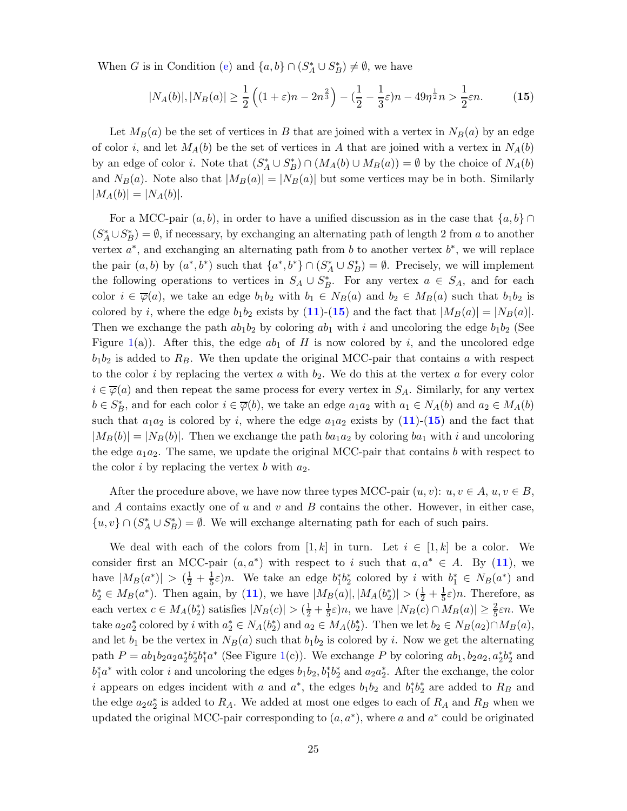When G is in Condition [\(e\)](#page-14-2) and  $\{a, b\} \cap (S_A^* \cup S_B^*) \neq \emptyset$ , we have

<span id="page-24-0"></span>
$$
|N_A(b)|, |N_B(a)| \ge \frac{1}{2} \left( (1+\varepsilon)n - 2n^{\frac{2}{3}} \right) - (\frac{1}{2} - \frac{1}{3}\varepsilon)n - 49\eta^{\frac{1}{2}}n > \frac{1}{2}\varepsilon n.
$$
 (15)

Let  $M_B(a)$  be the set of vertices in B that are joined with a vertex in  $N_B(a)$  by an edge of color i, and let  $M_A(b)$  be the set of vertices in A that are joined with a vertex in  $N_A(b)$ by an edge of color *i*. Note that  $(S_A^* \cup S_B^*) \cap (M_A(b) \cup M_B(a)) = \emptyset$  by the choice of  $N_A(b)$ and  $N_B(a)$ . Note also that  $|M_B(a)| = |N_B(a)|$  but some vertices may be in both. Similarly  $|M_A(b)| = |N_A(b)|.$ 

For a MCC-pair  $(a, b)$ , in order to have a unified discussion as in the case that  $\{a, b\} \cap$  $(S_A^* \cup S_B^*) = \emptyset$ , if necessary, by exchanging an alternating path of length 2 from a to another vertex  $a^*$ , and exchanging an alternating path from b to another vertex  $b^*$ , we will replace the pair  $(a, b)$  by  $(a^*, b^*)$  such that  $\{a^*, b^*\} \cap (S_A^* \cup S_B^*) = \emptyset$ . Precisely, we will implement the following operations to vertices in  $S_A \cup S_B^*$ . For any vertex  $a \in S_A$ , and for each color  $i \in \overline{\varphi}(a)$ , we take an edge  $b_1b_2$  with  $b_1 \in N_B(a)$  and  $b_2 \in M_B(a)$  such that  $b_1b_2$  is colored by *i*, where the edge  $b_1b_2$  exists by ([11](#page-23-0))-([15](#page-24-0)) and the fact that  $|M_B(a)| = |N_B(a)|$ . Then we exchange the path  $ab_1b_2$  by coloring  $ab_1$  with i and uncoloring the edge  $b_1b_2$  (See Figure [1\(](#page-26-0)a)). After this, the edge  $ab_1$  of H is now colored by i, and the uncolored edge  $b_1b_2$  is added to  $R_B$ . We then update the original MCC-pair that contains a with respect to the color i by replacing the vertex a with  $b_2$ . We do this at the vertex a for every color  $i \in \overline{\varphi}(a)$  and then repeat the same process for every vertex in  $S_A$ . Similarly, for any vertex  $b \in S_B^*$ , and for each color  $i \in \overline{\varphi}(b)$ , we take an edge  $a_1a_2$  with  $a_1 \in N_A(b)$  and  $a_2 \in M_A(b)$ such that  $a_1a_2$  is colored by i, where the edge  $a_1a_2$  exists by  $(11)-(15)$  $(11)-(15)$  $(11)-(15)$  $(11)-(15)$  $(11)-(15)$  and the fact that  $|M_B(b)| = |N_B(b)|$ . Then we exchange the path  $ba_1a_2$  by coloring  $ba_1$  with i and uncoloring the edge  $a_1a_2$ . The same, we update the original MCC-pair that contains b with respect to the color i by replacing the vertex b with  $a_2$ .

After the procedure above, we have now three types MCC-pair  $(u, v): u, v \in A$ ,  $u, v \in B$ , and A contains exactly one of u and v and B contains the other. However, in either case, { $u, v$ } ∩ ( $S_A^* \cup S_B^*$ ) =  $\emptyset$ . We will exchange alternating path for each of such pairs.

We deal with each of the colors from [1, k] in turn. Let  $i \in [1, k]$  be a color. We consider first an MCC-pair  $(a, a^*)$  with respect to i such that  $a, a^* \in A$ . By ([11](#page-23-0)), we have  $|M_B(a^*)| > (\frac{1}{2} + \frac{1}{5})$  $\frac{1}{5}\varepsilon$ )n. We take an edge  $b_1^*b_2^*$  colored by i with  $b_1^* \in N_B(a^*)$  and  $b_2^* \in M_B(a^*)$ . Then again, by ([11](#page-23-0)), we have  $|M_B(a)|, |M_A(b_2^*)| > (\frac{1}{2} + \frac{1}{5}\varepsilon)n$ . Therefore, as each vertex  $c \in M_A(b_2^*)$  satisfies  $|N_B(c)| > (\frac{1}{2} + \frac{1}{5})$  $\frac{1}{5}\varepsilon$ )n, we have  $|N_B(c) \cap M_B(a)| \geq \frac{2}{5}\varepsilon n$ . We take  $a_2a_2^*$  colored by i with  $a_2^* \in N_A(b_2^*)$  and  $a_2 \in M_A(b_2^*)$ . Then we let  $b_2 \in N_B(a_2) \cap M_B(a)$ , and let  $b_1$  be the vertex in  $N_B(a)$  such that  $b_1b_2$  is colored by i. Now we get the alternating path  $P = ab_1b_2a_2a_2^*b_2^*b_1^*a^*$  (See Figure [1\(](#page-26-0)c)). We exchange P by coloring  $ab_1, b_2a_2, a_2^*b_2^*$  and  $b_1^* a^*$  with color *i* and uncoloring the edges  $b_1 b_2, b_1^* b_2^*$  and  $a_2 a_2^*$ . After the exchange, the color i appears on edges incident with a and  $a^*$ , the edges  $b_1b_2$  and  $b_1^*b_2^*$  are added to  $R_B$  and the edge  $a_2a_2^*$  is added to  $R_A$ . We added at most one edges to each of  $R_A$  and  $R_B$  when we updated the original MCC-pair corresponding to  $(a, a^*)$ , where a and  $a^*$  could be originated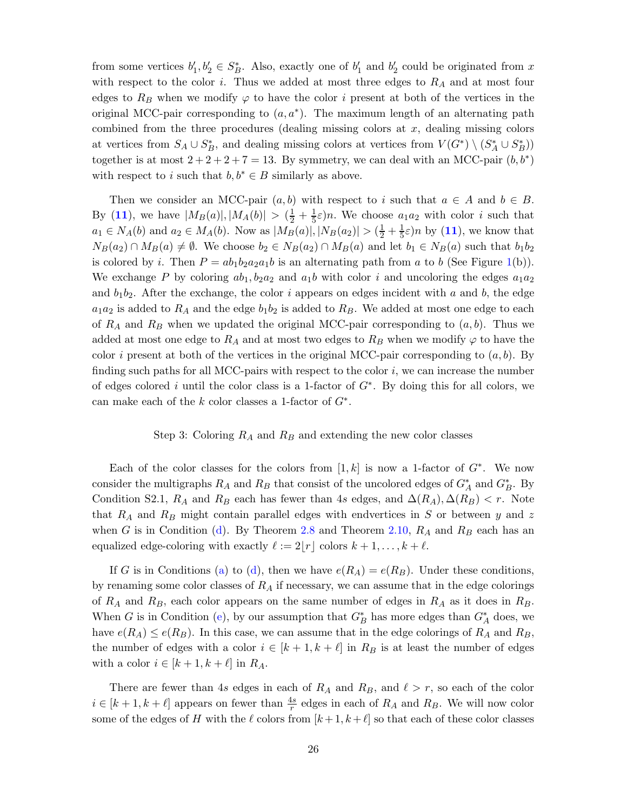from some vertices  $b'_1, b'_2 \in S_B^*$ . Also, exactly one of  $b'_1$  and  $b'_2$  could be originated from x with respect to the color i. Thus we added at most three edges to  $R_A$  and at most four edges to  $R_B$  when we modify  $\varphi$  to have the color i present at both of the vertices in the original MCC-pair corresponding to  $(a, a^*)$ . The maximum length of an alternating path combined from the three procedures (dealing missing colors at  $x$ , dealing missing colors at vertices from  $S_A \cup S_B^*$ , and dealing missing colors at vertices from  $V(G^*) \setminus (S_A^* \cup S_B^*)$ together is at most  $2 + 2 + 2 + 7 = 13$ . By symmetry, we can deal with an MCC-pair  $(b, b^*)$ with respect to i such that  $b, b^* \in B$  similarly as above.

Then we consider an MCC-pair  $(a, b)$  with respect to i such that  $a \in A$  and  $b \in B$ . By ([11](#page-23-0)), we have  $|M_B(a)|, |M_A(b)| > (\frac{1}{2} + \frac{1}{5}\varepsilon)n$ . We choose  $a_1a_2$  with color i such that  $a_1 \in N_A(b)$  and  $a_2 \in M_A(b)$ . Now as  $|M_B(a)|, |N_B(a_2)| > (\frac{1}{2} + \frac{1}{5})$  $(\frac{1}{5}\varepsilon)n$  by  $(11)$  $(11)$  $(11)$ , we know that  $N_B(a_2) \cap M_B(a) \neq \emptyset$ . We choose  $b_2 \in N_B(a_2) \cap M_B(a)$  and let  $b_1 \in N_B(a)$  such that  $b_1b_2$ is colored by i. Then  $P = ab_1b_2a_2a_1b$  is an alternating path from a to b (See Figure [1\(](#page-26-0)b)). We exchange P by coloring  $ab_1, b_2a_2$  and  $a_1b$  with color i and uncoloring the edges  $a_1a_2$ and  $b_1b_2$ . After the exchange, the color i appears on edges incident with a and b, the edge  $a_1a_2$  is added to  $R_A$  and the edge  $b_1b_2$  is added to  $R_B$ . We added at most one edge to each of  $R_A$  and  $R_B$  when we updated the original MCC-pair corresponding to  $(a, b)$ . Thus we added at most one edge to  $R_A$  and at most two edges to  $R_B$  when we modify  $\varphi$  to have the color i present at both of the vertices in the original MCC-pair corresponding to  $(a, b)$ . By finding such paths for all MCC-pairs with respect to the color  $i$ , we can increase the number of edges colored i until the color class is a 1-factor of  $G^*$ . By doing this for all colors, we can make each of the  $k$  color classes a 1-factor of  $G^*$ .

#### Step 3: Coloring  $R_A$  and  $R_B$  and extending the new color classes

Each of the color classes for the colors from  $[1, k]$  is now a 1-factor of  $G^*$ . We now consider the multigraphs  $R_A$  and  $R_B$  that consist of the uncolored edges of  $G_A^*$  and  $G_B^*$ . By Condition S2.1,  $R_A$  and  $R_B$  each has fewer than 4s edges, and  $\Delta(R_A), \Delta(R_B) < r$ . Note that  $R_A$  and  $R_B$  might contain parallel edges with endvertices in S or between y and z when G is in Condition [\(d\)](#page-14-1). By Theorem [2.8](#page-5-0) and Theorem [2.10,](#page-5-3)  $R_A$  and  $R_B$  each has an equalized edge-coloring with exactly  $\ell := 2|r|$  colors  $k + 1, \ldots, k + \ell$ .

If G is in Conditions [\(a\)](#page-14-0) to [\(d\)](#page-14-1), then we have  $e(R_A) = e(R_B)$ . Under these conditions, by renaming some color classes of  $R_A$  if necessary, we can assume that in the edge colorings of  $R_A$  and  $R_B$ , each color appears on the same number of edges in  $R_A$  as it does in  $R_B$ . When G is in Condition [\(e\)](#page-14-2), by our assumption that  $G_B^*$  has more edges than  $G_A^*$  does, we have  $e(R_A) \leq e(R_B)$ . In this case, we can assume that in the edge colorings of  $R_A$  and  $R_B$ , the number of edges with a color  $i \in [k+1, k+\ell]$  in  $R_B$  is at least the number of edges with a color  $i \in [k+1, k+\ell]$  in  $R_A$ .

There are fewer than 4s edges in each of  $R_A$  and  $R_B$ , and  $\ell > r$ , so each of the color  $i \in [k+1, k+\ell]$  appears on fewer than  $\frac{4s}{r}$  edges in each of  $R_A$  and  $R_B$ . We will now color some of the edges of H with the  $\ell$  colors from  $[k+1, k+\ell]$  so that each of these color classes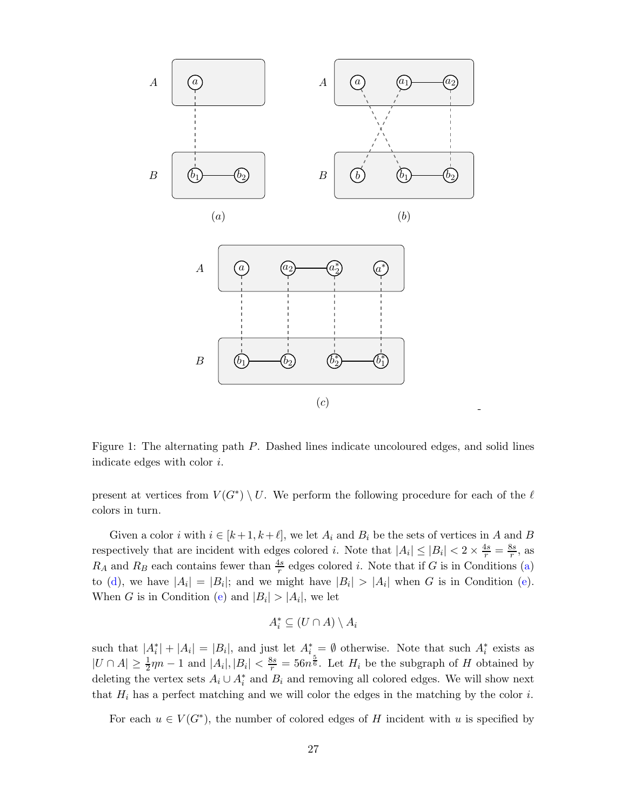



<span id="page-26-0"></span>Figure 1: The alternating path P. Dashed lines indicate uncoloured edges, and solid lines indicate edges with color i.

-

present at vertices from  $V(G^*) \setminus U$ . We perform the following procedure for each of the  $\ell$ colors in turn.

Given a color i with  $i \in [k+1, k+\ell]$ , we let  $A_i$  and  $B_i$  be the sets of vertices in A and B respectively that are incident with edges colored *i*. Note that  $|A_i| \leq |B_i| < 2 \times \frac{4s}{r} = \frac{8s}{r}$  $\frac{ss}{r}$ , as  $R_A$  and  $R_B$  each contains fewer than  $\frac{4s}{r}$  edges colored *i*. Note that if G is in Conditions [\(a\)](#page-14-0) to [\(d\)](#page-14-1), we have  $|A_i| = |B_i|$ ; and we might have  $|B_i| > |A_i|$  when G is in Condition [\(e\)](#page-14-2). When G is in Condition [\(e\)](#page-14-2) and  $|B_i| > |A_i|$ , we let

$$
A_i^* \subseteq (U \cap A) \setminus A_i
$$

such that  $|A_i^*| + |A_i| = |B_i|$ , and just let  $A_i^* = \emptyset$  otherwise. Note that such  $A_i^*$  exists as  $|U \cap A| \ge \frac{1}{2}\eta n - 1$  and  $|A_i|, |B_i| < \frac{8s}{r} = 56n^{\frac{5}{6}}$ . Let  $H_i$  be the subgraph of H obtained by deleting the vertex sets  $A_i \cup A_i^*$  and  $B_i$  and removing all colored edges. We will show next that  $H_i$  has a perfect matching and we will color the edges in the matching by the color i.

For each  $u \in V(G^*)$ , the number of colored edges of H incident with u is specified by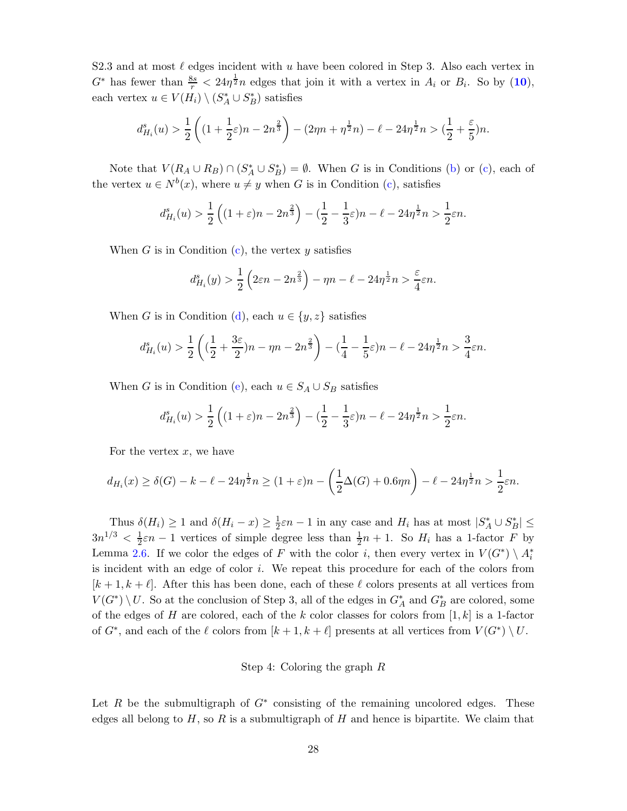S2.3 and at most  $\ell$  edges incident with u have been colored in Step 3. Also each vertex in  $G^*$  has fewer than  $\frac{8s}{r} < 24\eta^{\frac{1}{2}}n$  edges that join it with a vertex in  $A_i$  or  $B_i$ . So by ([10](#page-23-1)), each vertex  $u \in V(H_i) \setminus (S_A^* \cup S_B^*)$  satisfies

$$
d_{H_i}^s(u) > \frac{1}{2}\left((1+\frac{1}{2}\varepsilon)n - 2n^{\frac{2}{3}}\right) - (2\eta n + \eta^{\frac{1}{2}}n) - \ell - 24\eta^{\frac{1}{2}}n > (\frac{1}{2} + \frac{\varepsilon}{5})n.
$$

Note that  $V(R_A \cup R_B) \cap (S_A^* \cup S_B^*) = \emptyset$ . When G is in Conditions [\(b\)](#page-14-3) or [\(c\)](#page-14-4), each of the vertex  $u \in N^b(x)$ , where  $u \neq y$  when G is in Condition [\(c\)](#page-14-4), satisfies

$$
d_{H_i}^s(u) > \frac{1}{2} \left( (1+\varepsilon)n - 2n^{\frac{2}{3}} \right) - (\frac{1}{2} - \frac{1}{3}\varepsilon)n - \ell - 24\eta^{\frac{1}{2}}n > \frac{1}{2}\varepsilon n.
$$

When G is in Condition  $(c)$ , the vertex y satisfies

$$
d_{H_i}^s(y) > \frac{1}{2} \left( 2\varepsilon n - 2n^{\frac{2}{3}} \right) - \eta n - \ell - 24\eta^{\frac{1}{2}} n > \frac{\varepsilon}{4}\varepsilon n.
$$

When G is in Condition [\(d\)](#page-14-1), each  $u \in \{y, z\}$  satisfies

$$
d_{H_i}^s(u) > \frac{1}{2} \left( \left( \frac{1}{2} + \frac{3\varepsilon}{2} \right) n - \eta n - 2n^{\frac{2}{3}} \right) - \left( \frac{1}{4} - \frac{1}{5}\varepsilon \right) n - \ell - 24\eta^{\frac{1}{2}} n > \frac{3}{4}\varepsilon n.
$$

When G is in Condition [\(e\)](#page-14-2), each  $u \in S_A \cup S_B$  satisfies

$$
d_{H_i}^s(u) > \frac{1}{2} \left( (1+\varepsilon)n - 2n^{\frac{2}{3}} \right) - (\frac{1}{2} - \frac{1}{3}\varepsilon)n - \ell - 24\eta^{\frac{1}{2}}n > \frac{1}{2}\varepsilon n.
$$

For the vertex  $x$ , we have

$$
d_{H_i}(x) \ge \delta(G) - k - \ell - 24\eta^{\frac{1}{2}}n \ge (1+\varepsilon)n - \left(\frac{1}{2}\Delta(G) + 0.6\eta n\right) - \ell - 24\eta^{\frac{1}{2}}n > \frac{1}{2}\varepsilon n.
$$

Thus  $\delta(H_i) \geq 1$  and  $\delta(H_i - x) \geq \frac{1}{2}\varepsilon n - 1$  in any case and  $H_i$  has at most  $|S_A^* \cup S_B^*| \leq$  $3n^{1/3} < \frac{1}{2}$  $\frac{1}{2}\varepsilon n-1$  vertices of simple degree less than  $\frac{1}{2}n+1$ . So  $H_i$  has a 1-factor F by Lemma [2.6.](#page-4-1) If we color the edges of F with the color *i*, then every vertex in  $V(G^*) \setminus A_i^*$ is incident with an edge of color i. We repeat this procedure for each of the colors from  $[k+1, k+\ell]$ . After this has been done, each of these  $\ell$  colors presents at all vertices from  $V(G^*) \setminus U$ . So at the conclusion of Step 3, all of the edges in  $G_A^*$  and  $G_B^*$  are colored, some of the edges of H are colored, each of the k color classes for colors from  $[1, k]$  is a 1-factor of  $G^*$ , and each of the  $\ell$  colors from  $[k+1, k+\ell]$  presents at all vertices from  $V(G^*) \setminus U$ .

#### Step 4: Coloring the graph R

Let  $R$  be the submultigraph of  $G^*$  consisting of the remaining uncolored edges. These edges all belong to  $H$ , so R is a submultigraph of H and hence is bipartite. We claim that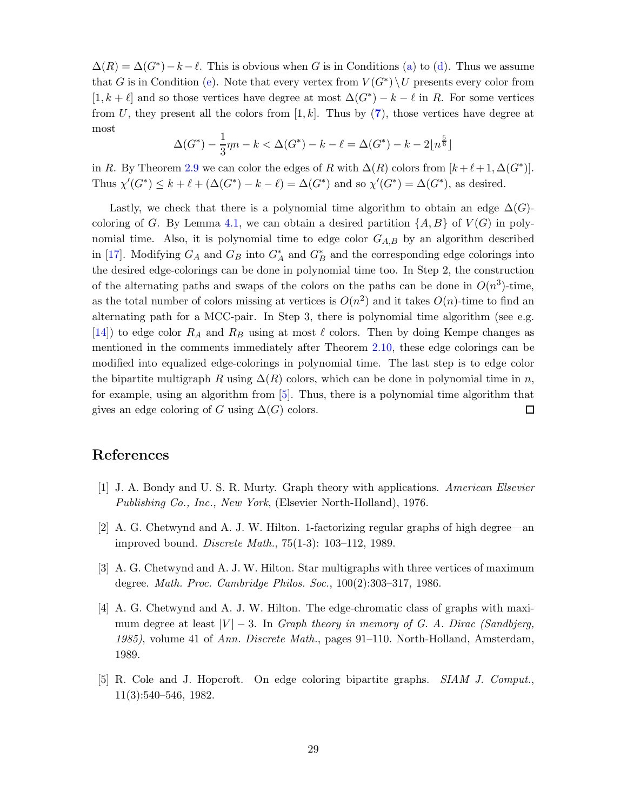$\Delta(R) = \Delta(G^*) - k - \ell$ . This is obvious when G is in Conditions [\(a\)](#page-14-0) to [\(d\)](#page-14-1). Thus we assume that G is in Condition [\(e\)](#page-14-2). Note that every vertex from  $V(G^*)\setminus U$  presents every color from  $[1, k + \ell]$  and so those vertices have degree at most  $\Delta(G^*) - k - \ell$  in R. For some vertices from U, they present all the colors from  $[1, k]$ . Thus by  $(7)$  $(7)$  $(7)$ , those vertices have degree at most

$$
\Delta(G^*) - \frac{1}{3}\eta n - k < \Delta(G^*) - k - \ell = \Delta(G^*) - k - 2\lfloor n^{\frac{5}{6}} \rfloor
$$

in R. By Theorem [2.9](#page-5-1) we can color the edges of R with  $\Delta(R)$  colors from  $[k + \ell + 1, \Delta(G^*)]$ . Thus  $\chi'(G^*) \leq k + \ell + (\Delta(G^*) - k - \ell) = \Delta(G^*)$  and so  $\chi'(G^*) = \Delta(G^*)$ , as desired.

Lastly, we check that there is a polynomial time algorithm to obtain an edge  $\Delta(G)$ -coloring of G. By Lemma [4.1,](#page-14-5) we can obtain a desired partition  $\{A, B\}$  of  $V(G)$  in polynomial time. Also, it is polynomial time to edge color  $G_{A,B}$  by an algorithm described in [\[17\]](#page-29-13). Modifying  $G_A$  and  $G_B$  into  $G_A^*$  and  $G_B^*$  and the corresponding edge colorings into the desired edge-colorings can be done in polynomial time too. In Step 2, the construction of the alternating paths and swaps of the colors on the paths can be done in  $O(n^3)$ -time, as the total number of colors missing at vertices is  $O(n^2)$  and it takes  $O(n)$ -time to find an alternating path for a MCC-pair. In Step 3, there is polynomial time algorithm (see e.g. [\[14\]](#page-29-14)) to edge color  $R_A$  and  $R_B$  using at most  $\ell$  colors. Then by doing Kempe changes as mentioned in the comments immediately after Theorem [2.10,](#page-5-3) these edge colorings can be modified into equalized edge-colorings in polynomial time. The last step is to edge color the bipartite multigraph R using  $\Delta(R)$  colors, which can be done in polynomial time in n, for example, using an algorithm from [\[5\]](#page-28-4). Thus, there is a polynomial time algorithm that gives an edge coloring of G using  $\Delta(G)$  colors.  $\Box$ 

## <span id="page-28-3"></span>References

- <span id="page-28-2"></span>[1] J. A. Bondy and U. S. R. Murty. Graph theory with applications. *American Elsevier Publishing Co., Inc., New York*, (Elsevier North-Holland), 1976.
- <span id="page-28-0"></span>[2] A. G. Chetwynd and A. J. W. Hilton. 1-factorizing regular graphs of high degree—an improved bound. *Discrete Math.*, 75(1-3): 103–112, 1989.
- <span id="page-28-1"></span>[3] A. G. Chetwynd and A. J. W. Hilton. Star multigraphs with three vertices of maximum degree. *Math. Proc. Cambridge Philos. Soc.*, 100(2):303–317, 1986.
- [4] A. G. Chetwynd and A. J. W. Hilton. The edge-chromatic class of graphs with maximum degree at least |V | − 3. In *Graph theory in memory of G. A. Dirac (Sandbjerg, 1985)*, volume 41 of *Ann. Discrete Math.*, pages 91–110. North-Holland, Amsterdam, 1989.
- <span id="page-28-4"></span>[5] R. Cole and J. Hopcroft. On edge coloring bipartite graphs. *SIAM J. Comput.*, 11(3):540–546, 1982.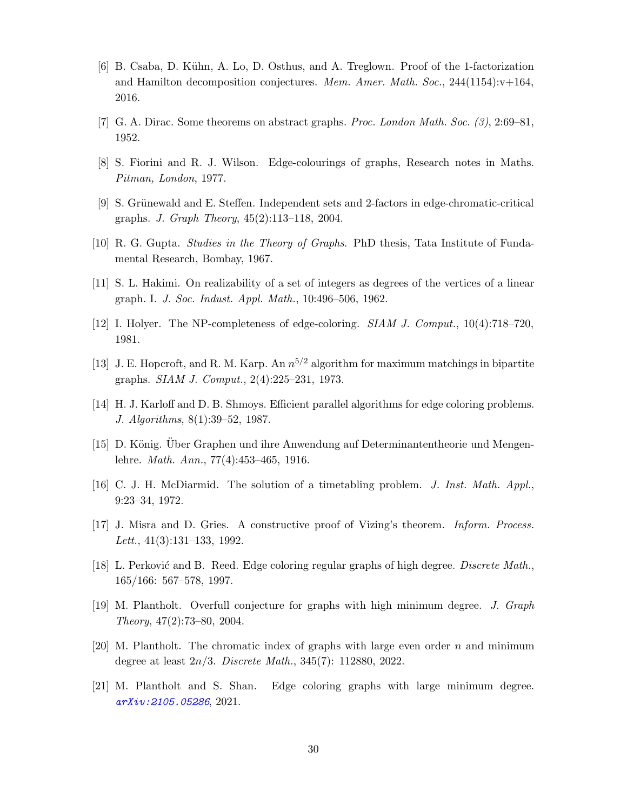- <span id="page-29-4"></span>[6] B. Csaba, D. Kühn, A. Lo, D. Osthus, and A. Treglown. Proof of the 1-factorization and Hamilton decomposition conjectures. *Mem. Amer. Math. Soc.*, 244(1154):v+164, 2016.
- <span id="page-29-8"></span><span id="page-29-1"></span>[7] G. A. Dirac. Some theorems on abstract graphs. *Proc. London Math. Soc. (3)*, 2:69–81, 1952.
- <span id="page-29-12"></span>[8] S. Fiorini and R. J. Wilson. Edge-colourings of graphs, Research notes in Maths. *Pitman, London*, 1977.
- <span id="page-29-0"></span>[9] S. Grünewald and E. Steffen. Independent sets and 2-factors in edge-chromatic-critical graphs. *J. Graph Theory*, 45(2):113–118, 2004.
- <span id="page-29-7"></span>[10] R. G. Gupta. *Studies in the Theory of Graphs*. PhD thesis, Tata Institute of Fundamental Research, Bombay, 1967.
- <span id="page-29-2"></span>[11] S. L. Hakimi. On realizability of a set of integers as degrees of the vertices of a linear graph. I. *J. Soc. Indust. Appl. Math.*, 10:496–506, 1962.
- <span id="page-29-9"></span>[12] I. Holyer. The NP-completeness of edge-coloring. *SIAM J. Comput.*, 10(4):718–720, 1981.
- <span id="page-29-14"></span>[13] J. E. Hopcroft, and R. M. Karp. An  $n^{5/2}$  algorithm for maximum matchings in bipartite graphs. *SIAM J. Comput.*, 2(4):225–231, 1973.
- <span id="page-29-10"></span>[14] H. J. Karloff and D. B. Shmoys. Efficient parallel algorithms for edge coloring problems. *J. Algorithms*, 8(1):39–52, 1987.
- <span id="page-29-11"></span>[15] D. König. Über Graphen und ihre Anwendung auf Determinantentheorie und Mengenlehre. *Math. Ann.*, 77(4):453–465, 1916.
- <span id="page-29-13"></span>[16] C. J. H. McDiarmid. The solution of a timetabling problem. *J. Inst. Math. Appl.*, 9:23–34, 1972.
- <span id="page-29-3"></span>[17] J. Misra and D. Gries. A constructive proof of Vizing's theorem. *Inform. Process. Lett.*, 41(3):131–133, 1992.
- <span id="page-29-5"></span>[18] L. Perković and B. Reed. Edge coloring regular graphs of high degree. *Discrete Math.*, 165/166: 567–578, 1997.
- <span id="page-29-6"></span>[19] M. Plantholt. Overfull conjecture for graphs with high minimum degree. *J. Graph Theory*, 47(2):73–80, 2004.
- [20] M. Plantholt. The chromatic index of graphs with large even order  $n$  and minimum degree at least 2n/3. *Discrete Math.*, 345(7): 112880, 2022.
- [21] M. Plantholt and S. Shan. Edge coloring graphs with large minimum degree. *[arXiv:2105.05286](http://arxiv.org/abs/2105.05286)*, 2021.